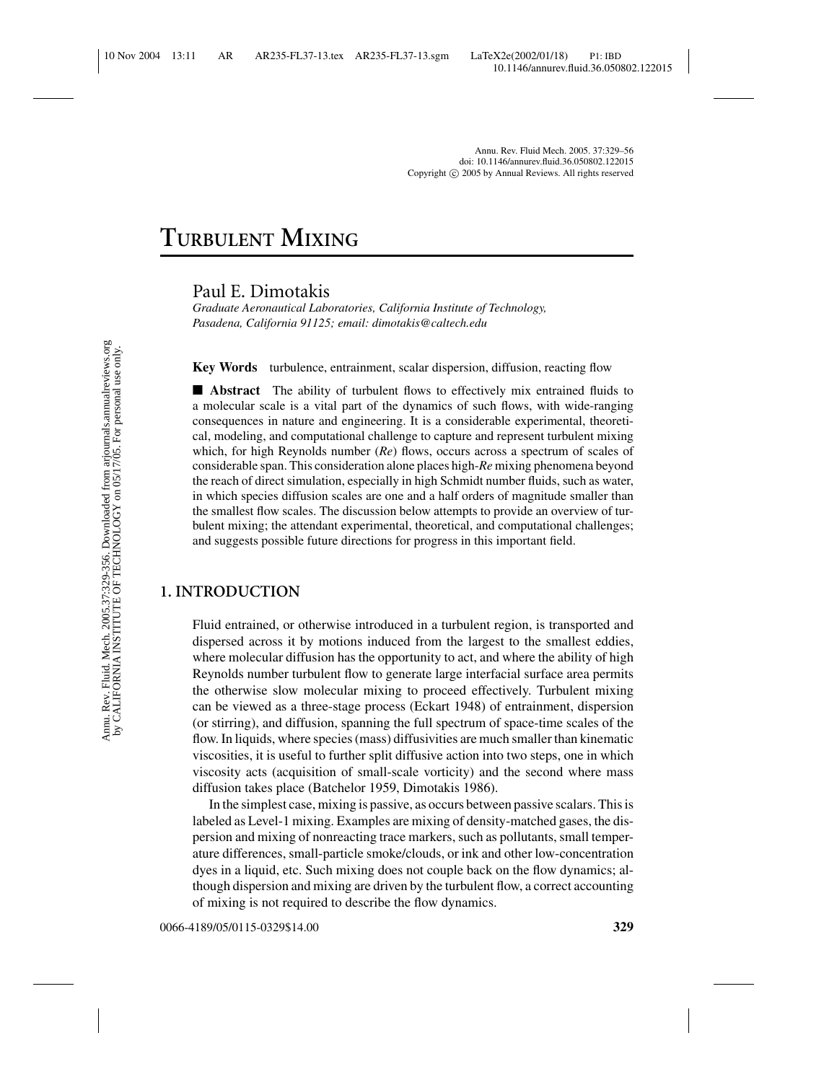## **TURBULENT MIXING**

## Paul E. Dimotakis

*Graduate Aeronautical Laboratories, California Institute of Technology, Pasadena, California 91125; email: dimotakis@caltech.edu*

**Key Words** turbulence, entrainment, scalar dispersion, diffusion, reacting flow

■ **Abstract** The ability of turbulent flows to effectively mix entrained fluids to a molecular scale is a vital part of the dynamics of such flows, with wide-ranging consequences in nature and engineering. It is a considerable experimental, theoretical, modeling, and computational challenge to capture and represent turbulent mixing which, for high Reynolds number (*Re*) flows, occurs across a spectrum of scales of considerable span. This consideration alone places high-*Re* mixing phenomena beyond the reach of direct simulation, especially in high Schmidt number fluids, such as water, in which species diffusion scales are one and a half orders of magnitude smaller than the smallest flow scales. The discussion below attempts to provide an overview of turbulent mixing; the attendant experimental, theoretical, and computational challenges; and suggests possible future directions for progress in this important field.

#### **1. INTRODUCTION**

Fluid entrained, or otherwise introduced in a turbulent region, is transported and dispersed across it by motions induced from the largest to the smallest eddies, where molecular diffusion has the opportunity to act, and where the ability of high Reynolds number turbulent flow to generate large interfacial surface area permits the otherwise slow molecular mixing to proceed effectively. Turbulent mixing can be viewed as a three-stage process (Eckart 1948) of entrainment, dispersion (or stirring), and diffusion, spanning the full spectrum of space-time scales of the flow. In liquids, where species (mass) diffusivities are much smaller than kinematic viscosities, it is useful to further split diffusive action into two steps, one in which viscosity acts (acquisition of small-scale vorticity) and the second where mass diffusion takes place (Batchelor 1959, Dimotakis 1986).

In the simplest case, mixing is passive, as occurs between passive scalars. This is labeled as Level-1 mixing. Examples are mixing of density-matched gases, the dispersion and mixing of nonreacting trace markers, such as pollutants, small temperature differences, small-particle smoke/clouds, or ink and other low-concentration dyes in a liquid, etc. Such mixing does not couple back on the flow dynamics; although dispersion and mixing are driven by the turbulent flow, a correct accounting of mixing is not required to describe the flow dynamics.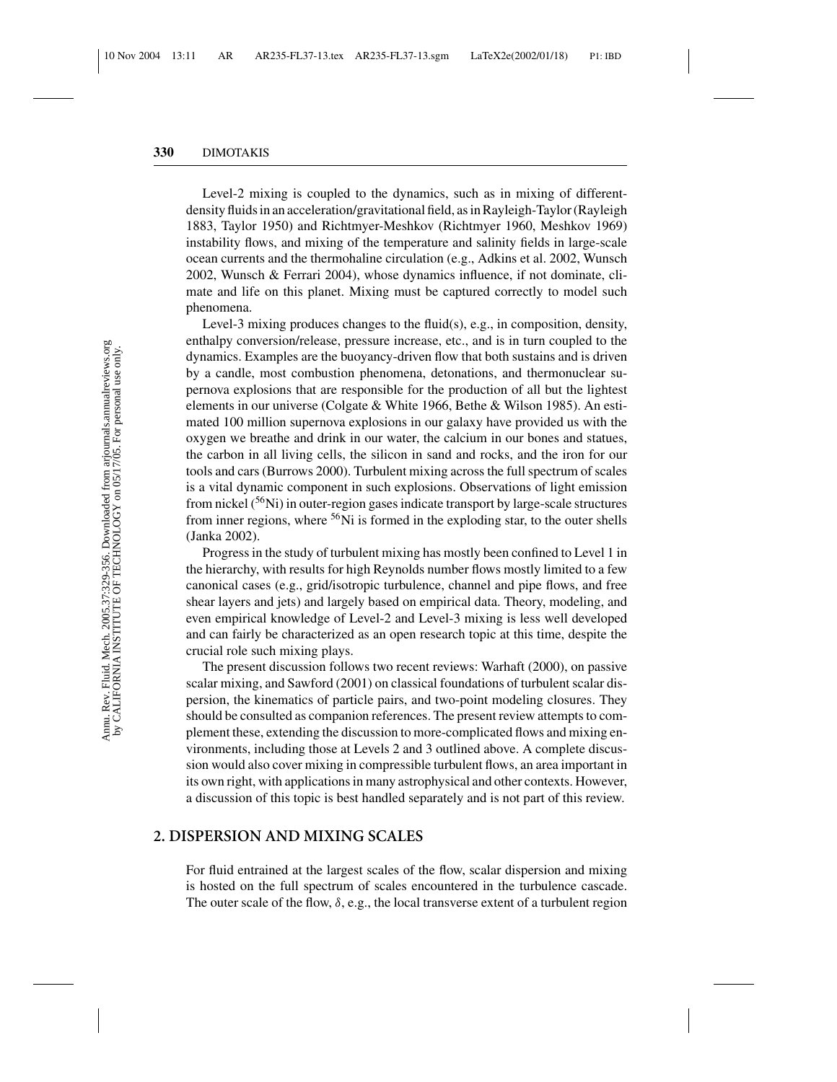Level-2 mixing is coupled to the dynamics, such as in mixing of differentdensity fluids in an acceleration/gravitational field, as in Rayleigh-Taylor (Rayleigh 1883, Taylor 1950) and Richtmyer-Meshkov (Richtmyer 1960, Meshkov 1969) instability flows, and mixing of the temperature and salinity fields in large-scale ocean currents and the thermohaline circulation (e.g., Adkins et al. 2002, Wunsch 2002, Wunsch & Ferrari 2004), whose dynamics influence, if not dominate, climate and life on this planet. Mixing must be captured correctly to model such phenomena.

Level-3 mixing produces changes to the fluid(s), e.g., in composition, density, enthalpy conversion/release, pressure increase, etc., and is in turn coupled to the dynamics. Examples are the buoyancy-driven flow that both sustains and is driven by a candle, most combustion phenomena, detonations, and thermonuclear supernova explosions that are responsible for the production of all but the lightest elements in our universe (Colgate & White 1966, Bethe & Wilson 1985). An estimated 100 million supernova explosions in our galaxy have provided us with the oxygen we breathe and drink in our water, the calcium in our bones and statues, the carbon in all living cells, the silicon in sand and rocks, and the iron for our tools and cars (Burrows 2000). Turbulent mixing across the full spectrum of scales is a vital dynamic component in such explosions. Observations of light emission from nickel  $(^{56}$ Ni) in outer-region gases indicate transport by large-scale structures from inner regions, where <sup>56</sup>Ni is formed in the exploding star, to the outer shells (Janka 2002).

Progress in the study of turbulent mixing has mostly been confined to Level 1 in the hierarchy, with results for high Reynolds number flows mostly limited to a few canonical cases (e.g., grid/isotropic turbulence, channel and pipe flows, and free shear layers and jets) and largely based on empirical data. Theory, modeling, and even empirical knowledge of Level-2 and Level-3 mixing is less well developed and can fairly be characterized as an open research topic at this time, despite the crucial role such mixing plays.

The present discussion follows two recent reviews: Warhaft (2000), on passive scalar mixing, and Sawford (2001) on classical foundations of turbulent scalar dispersion, the kinematics of particle pairs, and two-point modeling closures. They should be consulted as companion references. The present review attempts to complement these, extending the discussion to more-complicated flows and mixing environments, including those at Levels 2 and 3 outlined above. A complete discussion would also cover mixing in compressible turbulent flows, an area important in its own right, with applications in many astrophysical and other contexts. However, a discussion of this topic is best handled separately and is not part of this review.

### **2. DISPERSION AND MIXING SCALES**

For fluid entrained at the largest scales of the flow, scalar dispersion and mixing is hosted on the full spectrum of scales encountered in the turbulence cascade. The outer scale of the flow,  $\delta$ , e.g., the local transverse extent of a turbulent region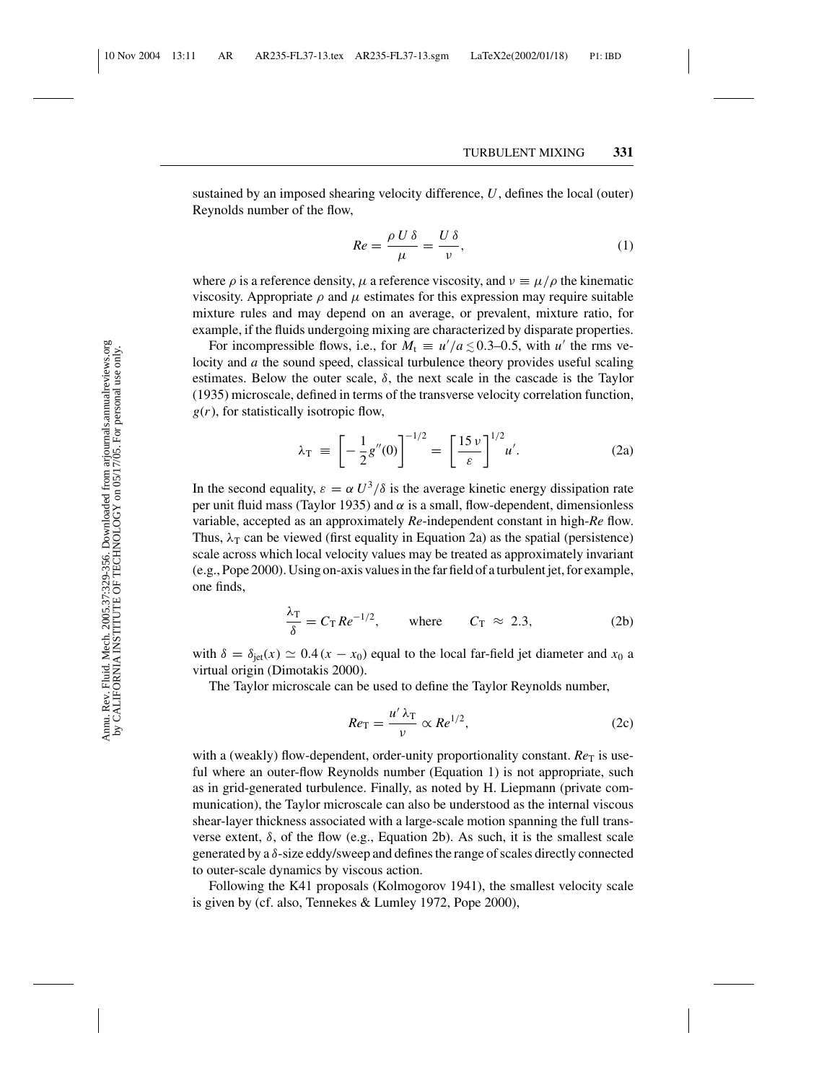sustained by an imposed shearing velocity difference, *U*, defines the local (outer) Reynolds number of the flow,

$$
Re = \frac{\rho U \delta}{\mu} = \frac{U \delta}{\nu},\tag{1}
$$

where  $\rho$  is a reference density,  $\mu$  a reference viscosity, and  $\nu \equiv \mu / \rho$  the kinematic viscosity. Appropriate  $\rho$  and  $\mu$  estimates for this expression may require suitable mixture rules and may depend on an average, or prevalent, mixture ratio, for example, if the fluids undergoing mixing are characterized by disparate properties.

For incompressible flows, i.e., for  $M_t \equiv u'/a \le 0.3-0.5$ , with *u'* the rms velocity and *a* the sound speed, classical turbulence theory provides useful scaling estimates. Below the outer scale,  $\delta$ , the next scale in the cascade is the Taylor (1935) microscale, defined in terms of the transverse velocity correlation function,  $g(r)$ , for statistically isotropic flow,  $\delta$ , then of the set of the set of the set of the set of the set of the set of the set of the set of the set of the set of the set of the set of the set of the set of the set of the set of the set of the set of the set o

$$
\lambda_{\rm T} \equiv \left[ -\frac{1}{2} g''(0) \right]^{-1/2} = \left[ \frac{15 \, v}{\varepsilon} \right]^{1/2} u'.
$$
 (2a)

In the second equality,  $\varepsilon = \alpha U^3/\delta$  is the average kinetic energy dissipation rate per unit fluid mass (Taylor 1935) and  $\alpha$  is a small, flow-dependent, dimensionless variable, accepted as an approximately *Re*-independent constant in high-*Re* flow. Thus,  $\lambda_T$  can be viewed (first equality in Equation 2a) as the spatial (persistence) scale across which local velocity values may be treated as approximately invariant (e.g., Pope 2000). Using on-axis values in the far field of a turbulent jet, for example, one finds,

$$
\frac{\lambda_{\rm T}}{\delta} = C_{\rm T} Re^{-1/2}, \qquad \text{where} \qquad C_{\rm T} \approx 2.3, \tag{2b}
$$

with  $\delta = \delta_{\text{iet}}(x) \simeq 0.4 (x - x_0)$  equal to the local far-field jet diameter and  $x_0$  a virtual origin (Dimotakis 2000).

The Taylor microscale can be used to define the Taylor Reynolds number,

$$
Re_{\rm T} = \frac{u' \lambda_{\rm T}}{v} \propto Re^{1/2},\tag{2c}
$$

with a (weakly) flow-dependent, order-unity proportionality constant.  $Re<sub>T</sub>$  is useful where an outer-flow Reynolds number (Equation 1) is not appropriate, such as in grid-generated turbulence. Finally, as noted by H. Liepmann (private communication), the Taylor microscale can also be understood as the internal viscous shear-layer thickness associated with a large-scale motion spanning the full transverse extent,  $\delta$ , of the flow (e.g., Equation 2b). As such, it is the smallest scale generated by a δ-size eddy/sweep and defines the range of scales directly connected to outer-scale dynamics by viscous action.

Following the K41 proposals (Kolmogorov 1941), the smallest velocity scale is given by (cf. also, Tennekes & Lumley 1972, Pope 2000),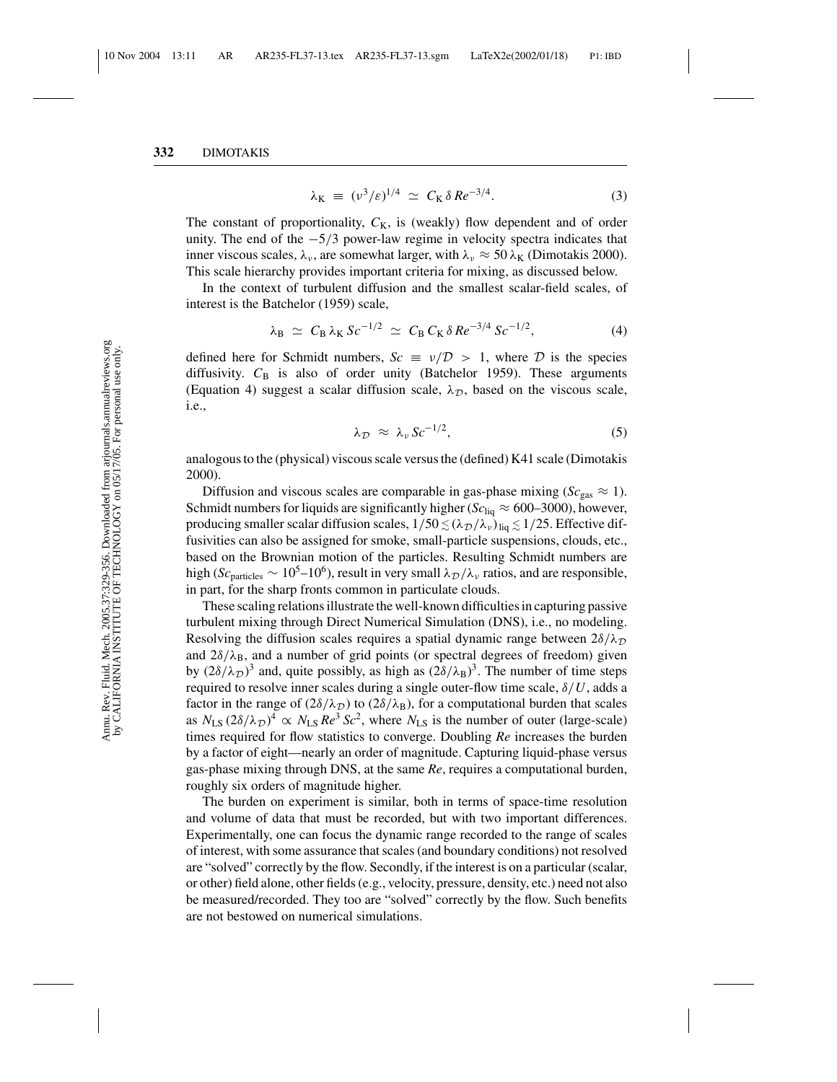$$
\lambda_{\rm K} \equiv (\nu^3/\varepsilon)^{1/4} \simeq C_{\rm K} \, \delta \, Re^{-3/4}.\tag{3}
$$

The constant of proportionality,  $C_K$ , is (weakly) flow dependent and of order unity. The end of the −5/3 power-law regime in velocity spectra indicates that inner viscous scales,  $\lambda_v$ , are somewhat larger, with  $\lambda_v \approx 50 \lambda_{\rm K}$  (Dimotakis 2000). This scale hierarchy provides important criteria for mixing, as discussed below.

In the context of turbulent diffusion and the smallest scalar-field scales, of interest is the Batchelor (1959) scale,

$$
\lambda_{\rm B} \simeq C_{\rm B} \, \lambda_{\rm K} \, Sc^{-1/2} \simeq C_{\rm B} \, C_{\rm K} \, \delta \, Re^{-3/4} \, Sc^{-1/2},\tag{4}
$$

defined here for Schmidt numbers,  $Sc \equiv \nu/\mathcal{D} > 1$ , where  $\mathcal D$  is the species diffusivity.  $C_B$  is also of order unity (Batchelor 1959). These arguments (Equation 4) suggest a scalar diffusion scale,  $\lambda_{\mathcal{D}}$ , based on the viscous scale, i.e.,

$$
\lambda_{\mathcal{D}} \approx \lambda_{\nu} S c^{-1/2}, \tag{5}
$$

analogous to the (physical) viscous scale versus the (defined) K41 scale (Dimotakis 2000).

Diffusion and viscous scales are comparable in gas-phase mixing ( $Sc<sub>gas</sub> \approx 1$ ). Schmidt numbers for liquids are significantly higher ( $Sc<sub>liq</sub> \approx 600-3000$ ), however, producing smaller scalar diffusion scales,  $1/50 \le (\lambda_{\mathcal{D}}/\lambda_{\nu})_{\text{liq}} \le 1/25$ . Effective diffusivities can also be assigned for smoke, small-particle suspensions, clouds, etc., based on the Brownian motion of the particles. Resulting Schmidt numbers are high (*Sc*<sub>particles</sub> ~ 10<sup>5</sup>–10<sup>6</sup>), result in very small  $\lambda_{\mathcal{D}}/\lambda_{\nu}$  ratios, and are responsible, in part, for the sharp fronts common in particulate clouds.

These scaling relations illustrate the well-known difficulties in capturing passive turbulent mixing through Direct Numerical Simulation (DNS), i.e., no modeling. Resolving the diffusion scales requires a spatial dynamic range between  $2\delta/\lambda_{\mathcal{D}}$ and  $2\delta/\lambda_B$ , and a number of grid points (or spectral degrees of freedom) given by  $(2\delta/\lambda_{\mathcal{D}})^3$  and, quite possibly, as high as  $(2\delta/\lambda_B)^3$ . The number of time steps required to resolve inner scales during a single outer-flow time scale, δ/*U*, adds a factor in the range of  $(2\delta/\lambda_D)$  to  $(2\delta/\lambda_B)$ , for a computational burden that scales as  $N_{LS} (2\delta/\lambda_{D})^4 \propto N_{LS} Re^3 Sc^2$ , where  $N_{LS}$  is the number of outer (large-scale) times required for flow statistics to converge. Doubling *Re* increases the burden by a factor of eight—nearly an order of magnitude. Capturing liquid-phase versus gas-phase mixing through DNS, at the same *Re*, requires a computational burden, roughly six orders of magnitude higher.

The burden on experiment is similar, both in terms of space-time resolution and volume of data that must be recorded, but with two important differences. Experimentally, one can focus the dynamic range recorded to the range of scales of interest, with some assurance that scales (and boundary conditions) not resolved are "solved" correctly by the flow. Secondly, if the interest is on a particular (scalar, or other) field alone, other fields (e.g., velocity, pressure, density, etc.) need not also be measured/recorded. They too are "solved" correctly by the flow. Such benefits are not bestowed on numerical simulations.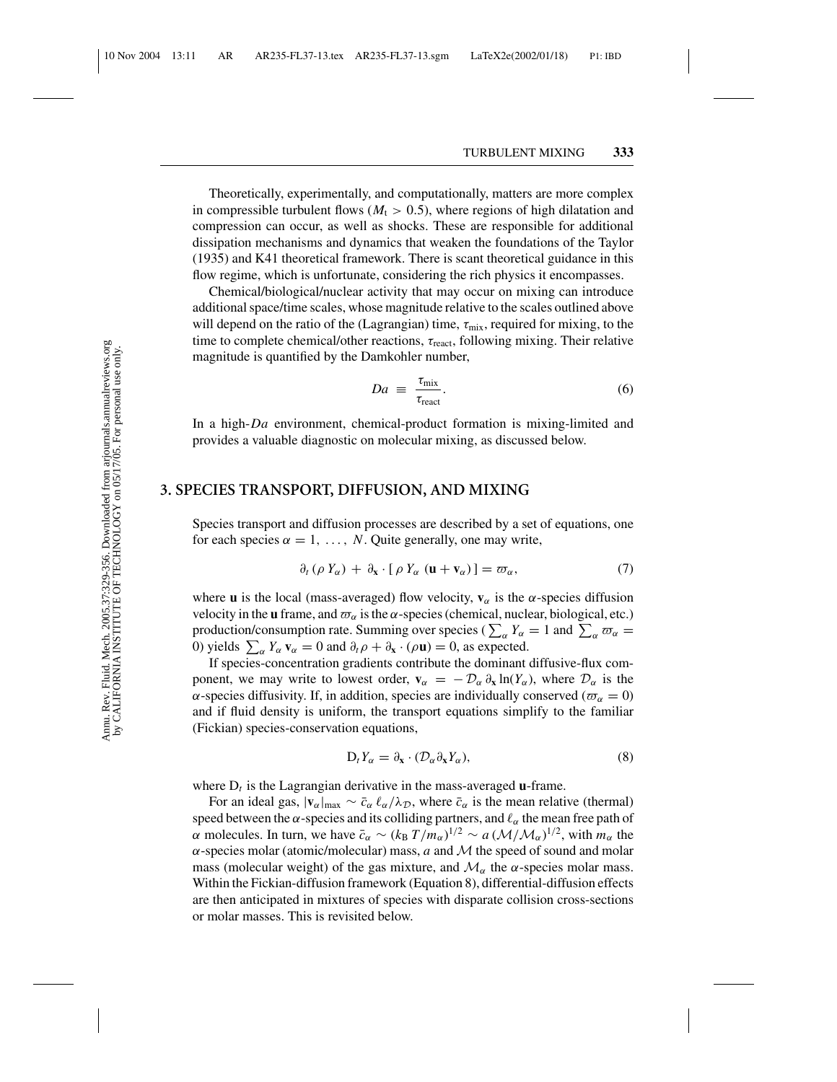Theoretically, experimentally, and computationally, matters are more complex in compressible turbulent flows ( $M_t > 0.5$ ), where regions of high dilatation and compression can occur, as well as shocks. These are responsible for additional dissipation mechanisms and dynamics that weaken the foundations of the Taylor (1935) and K41 theoretical framework. There is scant theoretical guidance in this flow regime, which is unfortunate, considering the rich physics it encompasses.

Chemical/biological/nuclear activity that may occur on mixing can introduce additional space/time scales, whose magnitude relative to the scales outlined above will depend on the ratio of the (Lagrangian) time,  $\tau_{mix}$ , required for mixing, to the time to complete chemical/other reactions,  $\tau_{\text{react}}$ , following mixing. Their relative magnitude is quantified by the Damkohler number,

$$
Da \equiv \frac{\tau_{\text{mix}}}{\tau_{\text{react}}}.\tag{6}
$$

In a high-*Da* environment, chemical-product formation is mixing-limited and provides a valuable diagnostic on molecular mixing, as discussed below.

#### **3. SPECIES TRANSPORT, DIFFUSION, AND MIXING**

Species transport and diffusion processes are described by a set of equations, one for each species  $\alpha = 1, \ldots, N$ . Quite generally, one may write,

$$
\partial_t (\rho Y_\alpha) + \partial_{\mathbf{x}} \cdot [\rho Y_\alpha (\mathbf{u} + \mathbf{v}_\alpha)] = \varpi_\alpha, \tag{7}
$$

where **u** is the local (mass-averaged) flow velocity,  $\mathbf{v}_\alpha$  is the  $\alpha$ -species diffusion velocity in the **u** frame, and  $\varpi_{\alpha}$  is the  $\alpha$ -species (chemical, nuclear, biological, etc.)  $\partial_t (\rho Y_\alpha) + \partial_{\mathbf{x}} \cdot [\rho Y_\alpha (\mathbf{u} + \mathbf{v}_\alpha)] = \varpi_\alpha,$  (7)<br>where **u** is the local (mass-averaged) flow velocity,  $\mathbf{v}_\alpha$  is the  $\alpha$ -species diffusion<br>velocity in the **u** frame, and  $\varpi_\alpha$  is the  $\alpha$ -species (chemical, n where **u** is the velocity in the production  $\log$  (0) yields  $\Sigma$ 0) yields  $\sum_{\alpha} Y_{\alpha} \mathbf{v}_{\alpha} = 0$  and  $\partial_t \rho + \partial_x \cdot (\rho \mathbf{u}) = 0$ , as expected.

If species-concentration gradients contribute the dominant diffusive-flux component, we may write to lowest order,  $\mathbf{v}_{\alpha} = -\mathcal{D}_{\alpha} \partial_{\mathbf{x}} \ln(Y_{\alpha})$ , where  $\mathcal{D}_{\alpha}$  is the α-species diffusivity. If, in addition, species are individually conserved ( $\varpi_{\alpha} = 0$ ) and if fluid density is uniform, the transport equations simplify to the familiar (Fickian) species-conservation equations,

$$
D_t Y_\alpha = \partial_{\mathbf{x}} \cdot (\mathcal{D}_\alpha \partial_{\mathbf{x}} Y_\alpha), \tag{8}
$$

where  $D_t$  is the Lagrangian derivative in the mass-averaged  $\mathbf{u}$ -frame.

For an ideal gas,  $|\mathbf{v}_{\alpha}|_{max} \sim \bar{c}_{\alpha} \ell_{\alpha}/\lambda_{\mathcal{D}}$ , where  $\bar{c}_{\alpha}$  is the mean relative (thermal) speed between the  $\alpha$ -species and its colliding partners, and  $\ell_\alpha$  the mean free path of α molecules. In turn, we have  $\bar{c}_α \sim (k_B T/m_α)^{1/2} \sim a (M/M_α)^{1/2}$ , with  $m_α$  the  $\alpha$ -species molar (atomic/molecular) mass, *a* and *M* the speed of sound and molar mass (molecular weight) of the gas mixture, and  $\mathcal{M}_{\alpha}$  the  $\alpha$ -species molar mass. Within the Fickian-diffusion framework (Equation 8), differential-diffusion effects are then anticipated in mixtures of species with disparate collision cross-sections or molar masses. This is revisited below.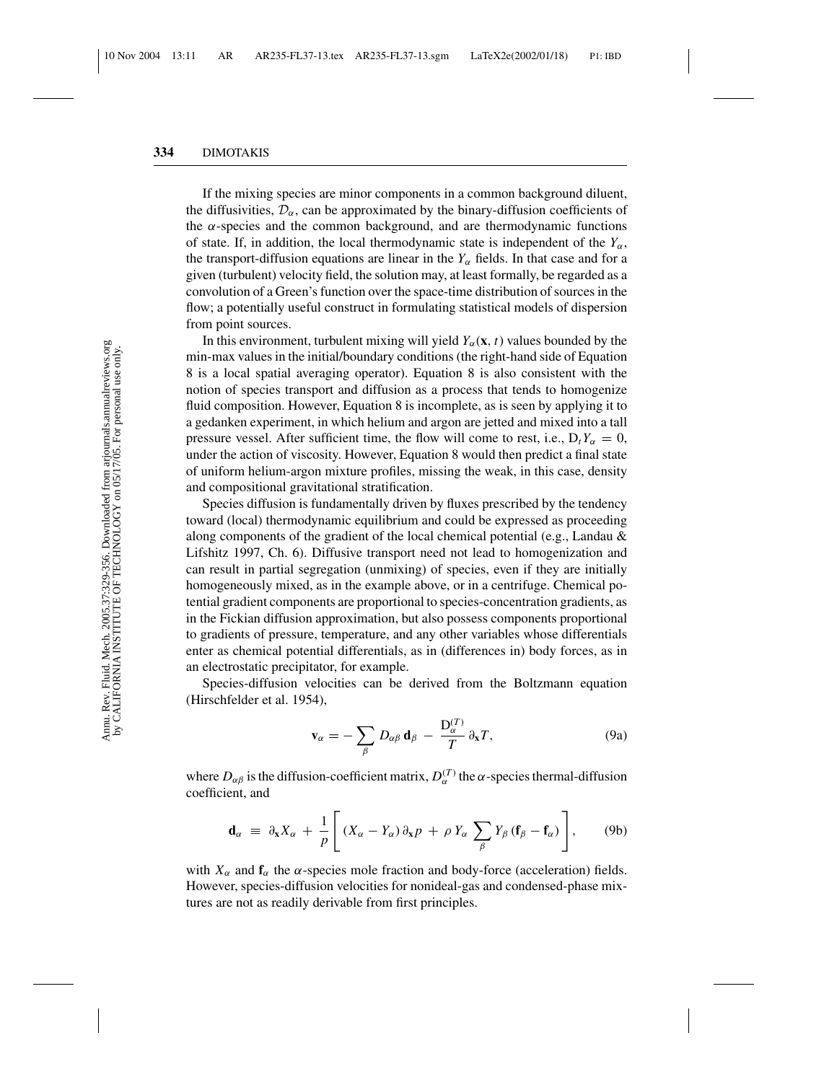If the mixing species are minor components in a common background diluent, the diffusivities,  $\mathcal{D}_{\alpha}$ , can be approximated by the binary-diffusion coefficients of the  $\alpha$ -species and the common background, and are thermodynamic functions of state. If, in addition, the local thermodynamic state is independent of the  $Y_\alpha$ , the transport-diffusion equations are linear in the  $Y_\alpha$  fields. In that case and for a given (turbulent) velocity field, the solution may, at least formally, be regarded as a convolution of a Green's function over the space-time distribution of sources in the flow; a potentially useful construct in formulating statistical models of dispersion from point sources.

In this environment, turbulent mixing will yield  $Y_\alpha(\mathbf{x}, t)$  values bounded by the min-max values in the initial/boundary conditions (the right-hand side of Equation 8 is a local spatial averaging operator). Equation 8 is also consistent with the notion of species transport and diffusion as a process that tends to homogenize fluid composition. However, Equation 8 is incomplete, as is seen by applying it to a gedanken experiment, in which helium and argon are jetted and mixed into a tall pressure vessel. After sufficient time, the flow will come to rest, i.e.,  $D_tY_\alpha = 0$ , under the action of viscosity. However, Equation 8 would then predict a final state of uniform helium-argon mixture profiles, missing the weak, in this case, density and compositional gravitational stratification.

Species diffusion is fundamentally driven by fluxes prescribed by the tendency toward (local) thermodynamic equilibrium and could be expressed as proceeding along components of the gradient of the local chemical potential (e.g., Landau & Lifshitz 1997, Ch. 6). Diffusive transport need not lead to homogenization and can result in partial segregation (unmixing) of species, even if they are initially homogeneously mixed, as in the example above, or in a centrifuge. Chemical potential gradient components are proportional to species-concentration gradients, as in the Fickian diffusion approximation, but also possess components proportional to gradients of pressure, temperature, and any other variables whose differentials enter as chemical potential differentials, as in (differences in) body forces, as in an electrostatic precipitator, for example.

Species-diffusion velocities can be derived from the Boltzmann equation (Hirschfelder et al. 1954), *x* altor, for example the case of  $\mathbf{v}_\alpha = -\sum_{n=1}^{\infty}$ 

$$
\mathbf{v}_{\alpha} = -\sum_{\beta} D_{\alpha\beta} \mathbf{d}_{\beta} - \frac{\mathbf{D}_{\alpha}^{(T)}}{T} \partial_{\mathbf{x}} T, \tag{9a}
$$

where  $D_{\alpha\beta}$  is the diffusion-coefficient matrix,  $D_{\alpha}^{(T)}$  the  $\alpha$ -species thermal-diffusion coefficient, and

$$
\mathbf{d}_{\alpha} \ \equiv \ \partial_{\mathbf{x}} X_{\alpha} \ + \ \frac{1}{p} \left[ \ (X_{\alpha} - Y_{\alpha}) \, \partial_{\mathbf{x}} p \ + \ \rho \ Y_{\alpha} \ \sum_{\beta} Y_{\beta} \left( \mathbf{f}_{\beta} - \mathbf{f}_{\alpha} \right) \right], \tag{9b}
$$

with  $X_\alpha$  and  $f_\alpha$  the  $\alpha$ -species mole fraction and body-force (acceleration) fields. However, species-diffusion velocities for nonideal-gas and condensed-phase mixtures are not as readily derivable from first principles.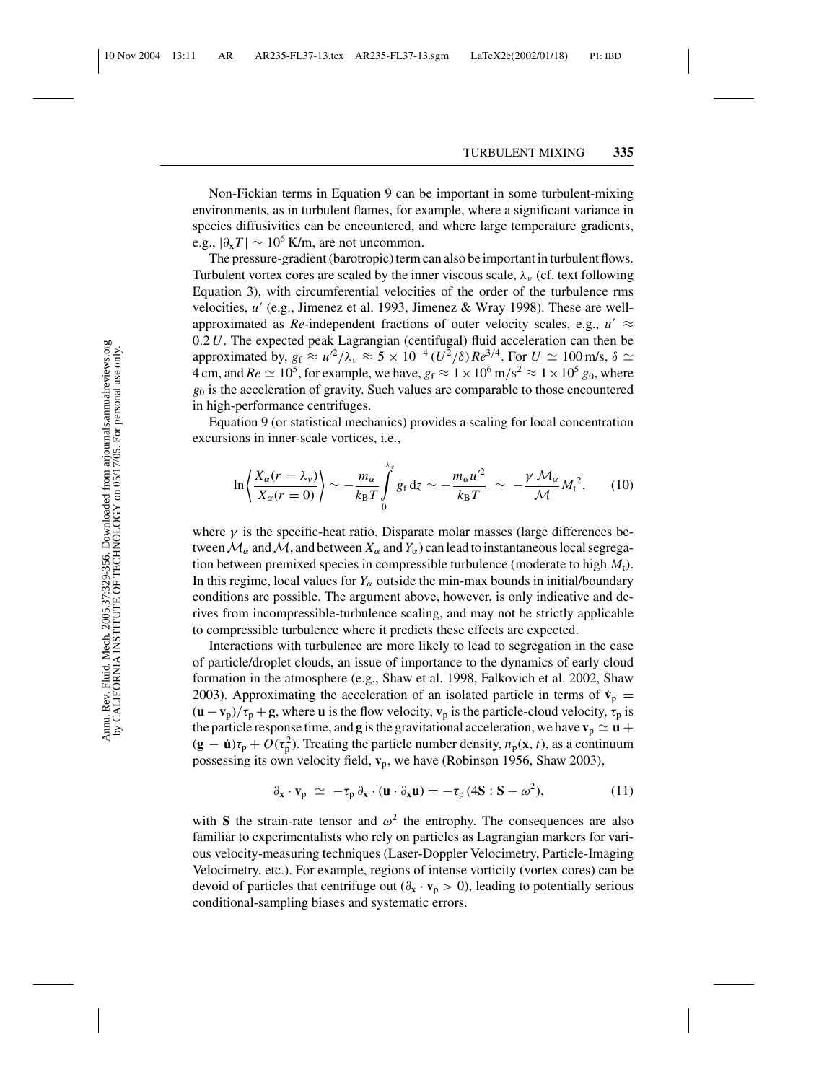Non-Fickian terms in Equation 9 can be important in some turbulent-mixing environments, as in turbulent flames, for example, where a significant variance in species diffusivities can be encountered, and where large temperature gradients, e.g.,  $|\partial_{\mathbf{x}} T| \sim 10^6$  K/m, are not uncommon.

The pressure-gradient (barotropic) term can also be important in turbulent flows. Turbulent vortex cores are scaled by the inner viscous scale,  $\lambda_{\nu}$  (cf. text following Equation 3), with circumferential velocities of the order of the turbulence rms velocities, u' (e.g., Jimenez et al. 1993, Jimenez & Wray 1998). These are wellapproximated as *Re*-independent fractions of outer velocity scales, e.g.,  $u' \approx$ 0.2 *U*. The expected peak Lagrangian (centifugal) fluid acceleration can then be approximated by,  $g_f \approx u^2/\lambda_v \approx 5 \times 10^{-4} (U^2/\delta) Re^{3/4}$ . For  $U \approx 100$  m/s,  $\delta \approx$ 4 cm, and  $Re \simeq 10^5$ , for example, we have,  $g_f \approx 1 \times 10^6$  m/s<sup>2</sup>  $\approx 1 \times 10^5$   $g_0$ , where  $g_0$  is the acceleration of gravity. Such values are comparable to those encountered in high-performance centrifuges.

excursions in inner-scale vortices, i.e.,

Equation 9 (or statistical mechanics) provides a scaling for local concentration  
cursions in inner-scale vortices, i.e.,  

$$
\ln\left(\frac{X_{\alpha}(r=\lambda_v)}{X_{\alpha}(r=0)}\right) \sim -\frac{m_{\alpha}}{k_{\rm B}T} \int_{0}^{\lambda_v} g_{\rm f} dz \sim -\frac{m_{\alpha}u^{\prime 2}}{k_{\rm B}T} \sim -\frac{\gamma \mathcal{M}_{\alpha}}{\mathcal{M}} M_{\rm t}^2, \qquad (10)
$$

where  $\gamma$  is the specific-heat ratio. Disparate molar masses (large differences between  $\mathcal{M}_{\alpha}$  and  $\mathcal{M}_{\alpha}$ , and between  $X_{\alpha}$  and  $Y_{\alpha}$ ) can lead to instantaneous local segregation between premixed species in compressible turbulence (moderate to high *M*t). In this regime, local values for  $Y_\alpha$  outside the min-max bounds in initial/boundary conditions are possible. The argument above, however, is only indicative and derives from incompressible-turbulence scaling, and may not be strictly applicable to compressible turbulence where it predicts these effects are expected.

Interactions with turbulence are more likely to lead to segregation in the case of particle/droplet clouds, an issue of importance to the dynamics of early cloud formation in the atmosphere (e.g., Shaw et al. 1998, Falkovich et al. 2002, Shaw 2003). Approximating the acceleration of an isolated particle in terms of  $\dot{v}_p$  =  $(\mathbf{u}-\mathbf{v}_p)/\tau_p + \mathbf{g}$ , where **u** is the flow velocity,  $\mathbf{v}_p$  is the particle-cloud velocity,  $\tau_p$  is the particle response time, and **g** is the gravitational acceleration, we have  $\mathbf{v}_p \simeq \mathbf{u} + \mathbf{v}_p$  $(\mathbf{g} - \mathbf{u})\tau_{\text{p}} + O(\tau_{\text{p}}^2)$ . Treating the particle number density,  $n_{\text{p}}(\mathbf{x}, t)$ , as a continuum possessing its own velocity field, **v**p, we have (Robinson 1956, Shaw 2003),

$$
\partial_{\mathbf{x}} \cdot \mathbf{v}_{p} \; \simeq \; -\tau_{p} \, \partial_{\mathbf{x}} \cdot (\mathbf{u} \cdot \partial_{\mathbf{x}} \mathbf{u}) = -\tau_{p} \, (4\mathbf{S} : \mathbf{S} - \omega^{2}), \tag{11}
$$

with **S** the strain-rate tensor and  $\omega^2$  the entrophy. The consequences are also familiar to experimentalists who rely on particles as Lagrangian markers for various velocity-measuring techniques (Laser-Doppler Velocimetry, Particle-Imaging Velocimetry, etc.). For example, regions of intense vorticity (vortex cores) can be devoid of particles that centrifuge out  $(\partial_x \cdot v_p > 0)$ , leading to potentially serious conditional-sampling biases and systematic errors.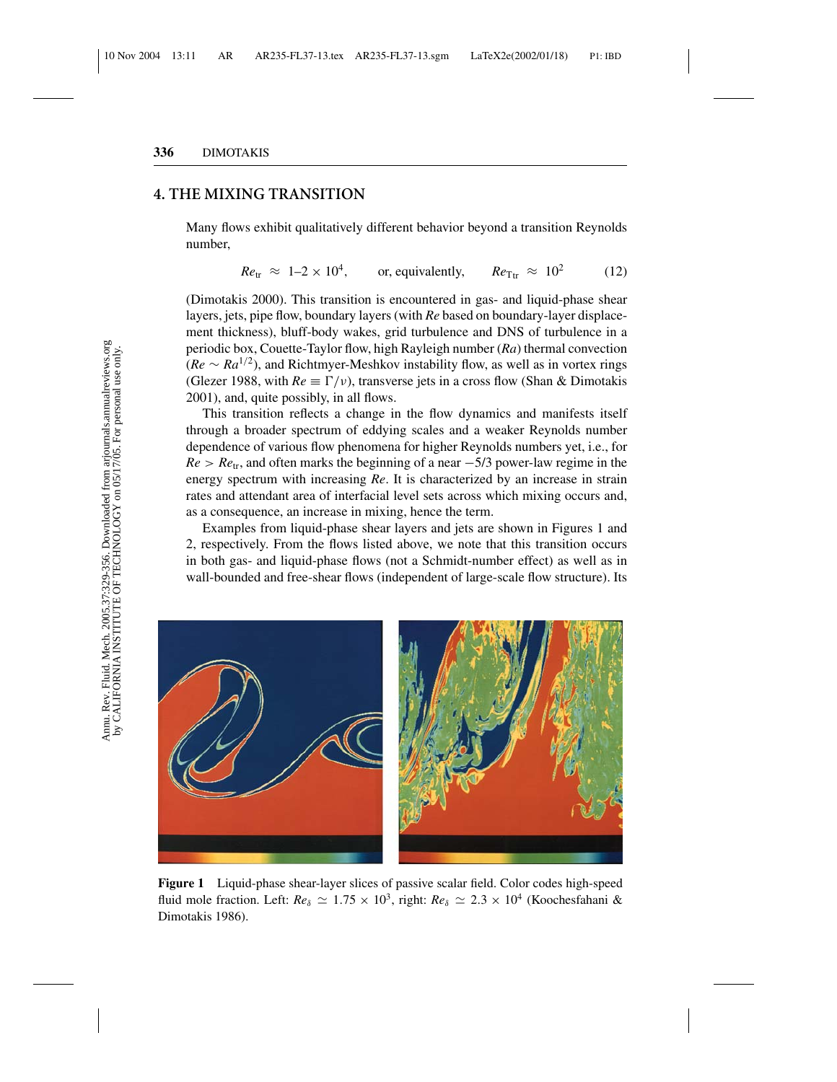#### **4. THE MIXING TRANSITION**

Many flows exhibit qualitatively different behavior beyond a transition Reynolds number,

$$
Re_{\text{tr}} \approx 1-2 \times 10^4
$$
, or, equivalently,  $Re_{\text{Tr}} \approx 10^2$  (12)

(Dimotakis 2000). This transition is encountered in gas- and liquid-phase shear layers, jets, pipe flow, boundary layers (with *Re* based on boundary-layer displacement thickness), bluff-body wakes, grid turbulence and DNS of turbulence in a periodic box, Couette-Taylor flow, high Rayleigh number (*Ra*) thermal convection (*Re* <sup>∼</sup> *Ra*1/2), and Richtmyer-Meshkov instability flow, as well as in vortex rings (Glezer 1988, with  $Re \equiv \Gamma/\nu$ ), transverse jets in a cross flow (Shan & Dimotakis 2001), and, quite possibly, in all flows.

This transition reflects a change in the flow dynamics and manifests itself through a broader spectrum of eddying scales and a weaker Reynolds number dependence of various flow phenomena for higher Reynolds numbers yet, i.e., for *Re* > *Re*tr, and often marks the beginning of a near −5/3 power-law regime in the energy spectrum with increasing *Re*. It is characterized by an increase in strain rates and attendant area of interfacial level sets across which mixing occurs and, as a consequence, an increase in mixing, hence the term.

Examples from liquid-phase shear layers and jets are shown in Figures 1 and 2, respectively. From the flows listed above, we note that this transition occurs in both gas- and liquid-phase flows (not a Schmidt-number effect) as well as in wall-bounded and free-shear flows (independent of large-scale flow structure). Its



**Figure 1** Liquid-phase shear-layer slices of passive scalar field. Color codes high-speed fluid mole fraction. Left:  $Re_{\delta} \simeq 1.75 \times 10^3$ , right:  $Re_{\delta} \simeq 2.3 \times 10^4$  (Koochesfahani & Dimotakis 1986).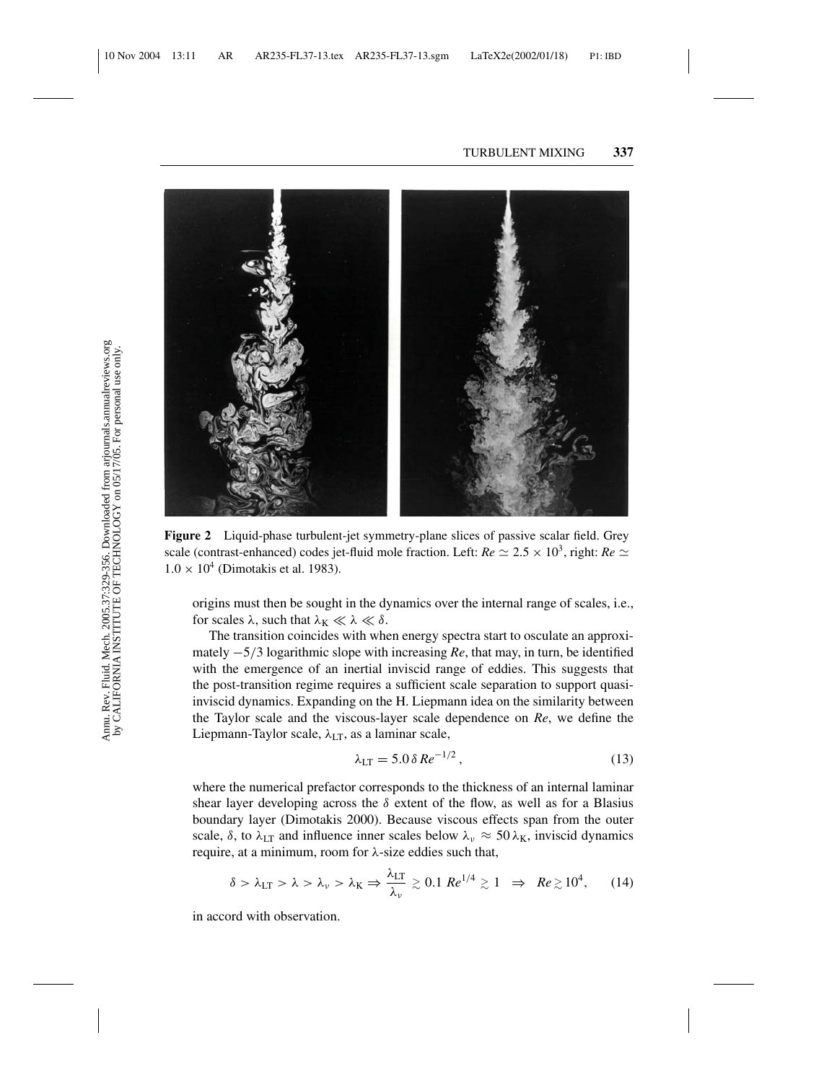

**Figure 2** Liquid-phase turbulent-jet symmetry-plane slices of passive scalar field. Grey scale (contrast-enhanced) codes jet-fluid mole fraction. Left:  $Re \approx 2.5 \times 10^3$ , right:  $Re \approx$  $1.0 \times 10^4$  (Dimotakis et al. 1983).

origins must then be sought in the dynamics over the internal range of scales, i.e., for scales  $\lambda$ , such that  $\lambda_K \ll \lambda \ll \delta$ .

The transition coincides with when energy spectra start to osculate an approximately −5/3 logarithmic slope with increasing *Re*, that may, in turn, be identified with the emergence of an inertial inviscid range of eddies. This suggests that the post-transition regime requires a sufficient scale separation to support quasiinviscid dynamics. Expanding on the H. Liepmann idea on the similarity between the Taylor scale and the viscous-layer scale dependence on *Re*, we define the Liepmann-Taylor scale,  $\lambda_{LT}$ , as a laminar scale,

$$
\lambda_{LT} = 5.0 \,\delta \, Re^{-1/2} \,, \tag{13}
$$

where the numerical prefactor corresponds to the thickness of an internal laminar shear layer developing across the  $\delta$  extent of the flow, as well as for a Blasius boundary layer (Dimotakis 2000). Because viscous effects span from the outer scale,  $\delta$ , to  $\lambda_{LT}$  and influence inner scales below  $\lambda_{\nu} \approx 50 \lambda_{K}$ , inviscid dynamics require, at a minimum, room for  $\lambda$ -size eddies such that,

$$
\delta > \lambda_{LT} > \lambda > \lambda_{\nu} > \lambda_{K} \Rightarrow \frac{\lambda_{LT}}{\lambda_{\nu}} \gtrsim 0.1 \; Re^{1/4} \gtrsim 1 \; \Rightarrow \; Re \gtrsim 10^{4}, \qquad (14)
$$

in accord with observation.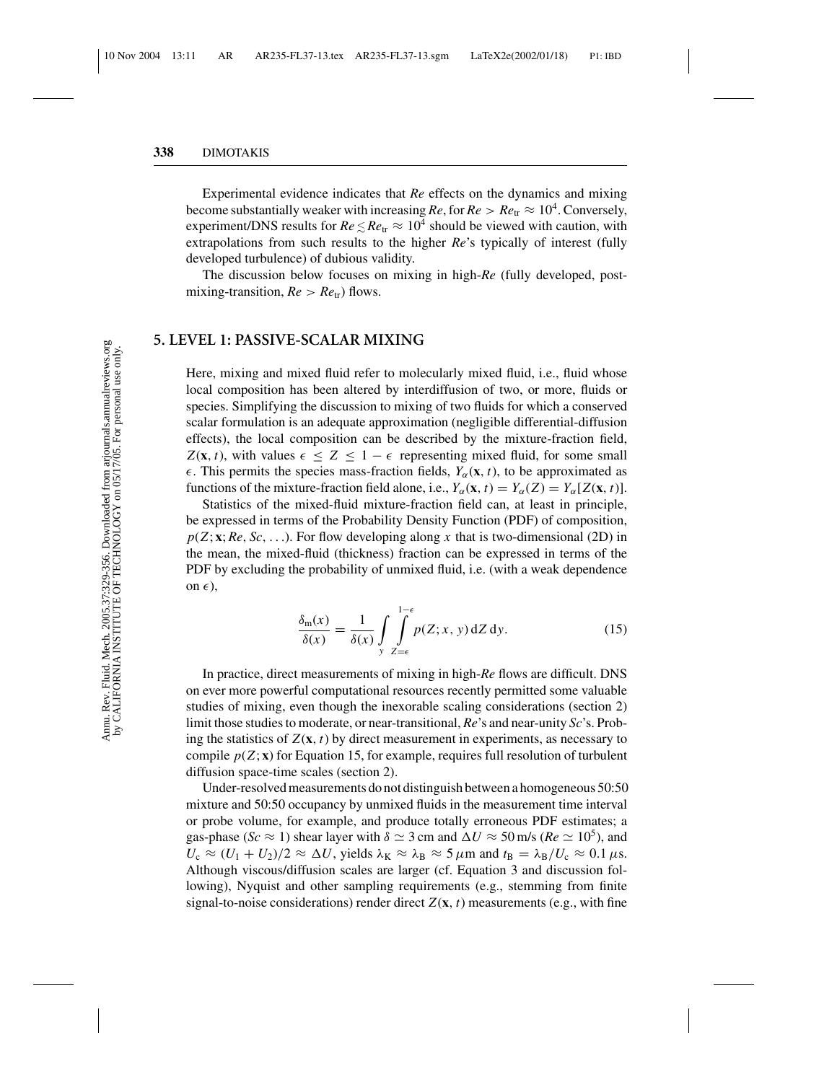Experimental evidence indicates that *Re* effects on the dynamics and mixing become substantially weaker with increasing  $Re$ , for  $Re > Re<sub>tr</sub> \approx 10<sup>4</sup>$ . Conversely, experiment/DNS results for  $Re \leq Re_{tr} \approx 10^4$  should be viewed with caution, with extrapolations from such results to the higher *Re*'s typically of interest (fully developed turbulence) of dubious validity.

The discussion below focuses on mixing in high-*Re* (fully developed, postmixing-transition,  $Re > Re<sub>tr</sub>$ ) flows.

#### **5. LEVEL 1: PASSIVE-SCALAR MIXING**

Here, mixing and mixed fluid refer to molecularly mixed fluid, i.e., fluid whose local composition has been altered by interdiffusion of two, or more, fluids or species. Simplifying the discussion to mixing of two fluids for which a conserved scalar formulation is an adequate approximation (negligible differential-diffusion effects), the local composition can be described by the mixture-fraction field,  $Z(\mathbf{x}, t)$ , with values  $\epsilon \leq Z \leq 1 - \epsilon$  representing mixed fluid, for some small  $\epsilon$ . This permits the species mass-fraction fields,  $Y_\alpha(\mathbf{x}, t)$ , to be approximated as functions of the mixture-fraction field alone, i.e.,  $Y_\alpha(\mathbf{x}, t) = Y_\alpha(Z) = Y_\alpha[Z(\mathbf{x}, t)].$ 

Statistics of the mixed-fluid mixture-fraction field can, at least in principle, be expressed in terms of the Probability Density Function (PDF) of composition,  $p(Z; \mathbf{x}; Re, Sc,...)$ . For flow developing along x that is two-dimensional (2D) in the mean, the mixed-fluid (thickness) fraction can be expressed in terms of the PDF by excluding the probability of unmixed fluid, i.e. (with a weak dependence on  $\epsilon$ ),

$$
\frac{\delta_{\mathbf{m}}(x)}{\delta(x)} = \frac{1}{\delta(x)} \int\limits_{\mathbf{y}} \int\limits_{Z=\epsilon}^{1-\epsilon} p(Z; x, y) \, dZ \, dy. \tag{15}
$$

In practice, direct measurements of mixing in high-*Re* flows are difficult. DNS on ever more powerful computational resources recently permitted some valuable studies of mixing, even though the inexorable scaling considerations (section 2) limit those studies to moderate, or near-transitional, *Re*'s and near-unity *Sc*'s. Probing the statistics of  $Z(x, t)$  by direct measurement in experiments, as necessary to compile  $p(Z; x)$  for Equation 15, for example, requires full resolution of turbulent diffusion space-time scales (section 2).

Under-resolved measurements do not distinguish between a homogeneous 50:50 mixture and 50:50 occupancy by unmixed fluids in the measurement time interval or probe volume, for example, and produce totally erroneous PDF estimates; a gas-phase (*Sc*  $\approx$  1) shear layer with  $\delta \simeq 3$  cm and  $\Delta U \approx 50$  m/s (*Re*  $\approx 10^5$ ), and  $U_c \approx (U_1 + U_2)/2 \approx \Delta U$ , yields  $\lambda_K \approx \lambda_B \approx 5 \,\mu \text{m}$  and  $t_B = \lambda_B/U_c \approx 0.1 \,\mu \text{s}$ . Although viscous/diffusion scales are larger (cf. Equation 3 and discussion following), Nyquist and other sampling requirements (e.g., stemming from finite signal-to-noise considerations) render direct  $Z(x, t)$  measurements (e.g., with fine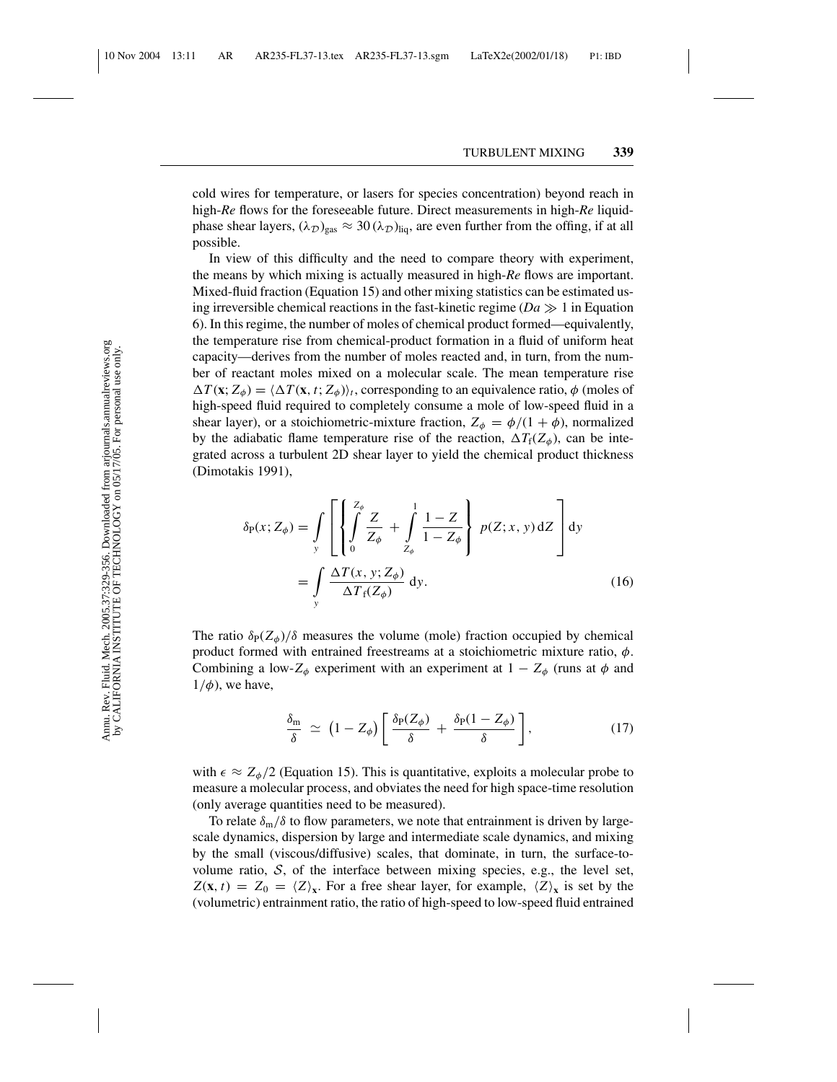cold wires for temperature, or lasers for species concentration) beyond reach in high-*Re* flows for the foreseeable future. Direct measurements in high-*Re* liquidphase shear layers,  $(\lambda_{\mathcal{D}})_{\text{gas}} \approx 30 (\lambda_{\mathcal{D}})_{\text{liq}}$ , are even further from the offing, if at all possible.

In view of this difficulty and the need to compare theory with experiment, the means by which mixing is actually measured in high-*Re* flows are important. Mixed-fluid fraction (Equation 15) and other mixing statistics can be estimated using irreversible chemical reactions in the fast-kinetic regime ( $Da \gg 1$  in Equation 6). In this regime, the number of moles of chemical product formed—equivalently, the temperature rise from chemical-product formation in a fluid of uniform heat capacity—derives from the number of moles reacted and, in turn, from the number of reactant moles mixed on a molecular scale. The mean temperature rise  $\Delta T(\mathbf{x}; Z_{\phi}) = \langle \Delta T(\mathbf{x}, t; Z_{\phi}) \rangle_t$ , corresponding to an equivalence ratio,  $\phi$  (moles of high-speed fluid required to completely consume a mole of low-speed fluid in a shear layer), or a stoichiometric-mixture fraction,  $Z_{\phi} = \phi/(1 + \phi)$ , normalized by the adiabatic flame temperature rise of the reaction,  $\Delta T_f(\mathbf{Z}_\phi)$ , can be integrated across a turbulent 2D shear layer to yield the chemical product thickness (Dimotakis 1991),

$$
\delta_{P}(x; Z_{\phi}) = \int_{y} \left[ \left\{ \int_{0}^{Z_{\phi}} \frac{Z}{Z_{\phi}} + \int_{Z_{\phi}}^{1} \frac{1 - Z}{1 - Z_{\phi}} \right\} p(Z; x, y) dZ \right] dy
$$

$$
= \int_{y} \frac{\Delta T(x, y; Z_{\phi})}{\Delta T_{f}(Z_{\phi})} dy.
$$
(16)

The ratio  $\delta_P(Z_\phi)/\delta$  measures the volume (mole) fraction occupied by chemical product formed with entrained freestreams at a stoichiometric mixture ratio,  $\phi$ . Combining a low- $Z_{\phi}$  experiment with an experiment at  $1 - Z_{\phi}$  (runs at  $\phi$  and  $1/\phi$ ), we have,<br>  $\frac{\delta_{\rm m}}{\delta} \simeq (1 - Z_{\phi}) \left[ \frac{\delta_{\rm P}(Z_{\phi})}{\delta} + \frac{\delta_{\rm P}(1 - Z_{\phi})}{\delta} \right],$  (17)  $1/\phi$ ), we have,

$$
\frac{\delta_{\rm m}}{\delta} \simeq (1 - Z_{\phi}) \left[ \frac{\delta_{\rm P}(Z_{\phi})}{\delta} + \frac{\delta_{\rm P}(1 - Z_{\phi})}{\delta} \right], \tag{17}
$$

with  $\epsilon \approx Z_{\phi}/2$  (Equation 15). This is quantitative, exploits a molecular probe to measure a molecular process, and obviates the need for high space-time resolution (only average quantities need to be measured).

To relate  $\delta_{\rm m}/\delta$  to flow parameters, we note that entrainment is driven by largescale dynamics, dispersion by large and intermediate scale dynamics, and mixing by the small (viscous/diffusive) scales, that dominate, in turn, the surface-tovolume ratio,  $S$ , of the interface between mixing species, e.g., the level set,  $Z(\mathbf{x}, t) = Z_0 = \langle Z \rangle_{\mathbf{x}}$ . For a free shear layer, for example,  $\langle Z \rangle_{\mathbf{x}}$  is set by the (volumetric) entrainment ratio, the ratio of high-speed to low-speed fluid entrained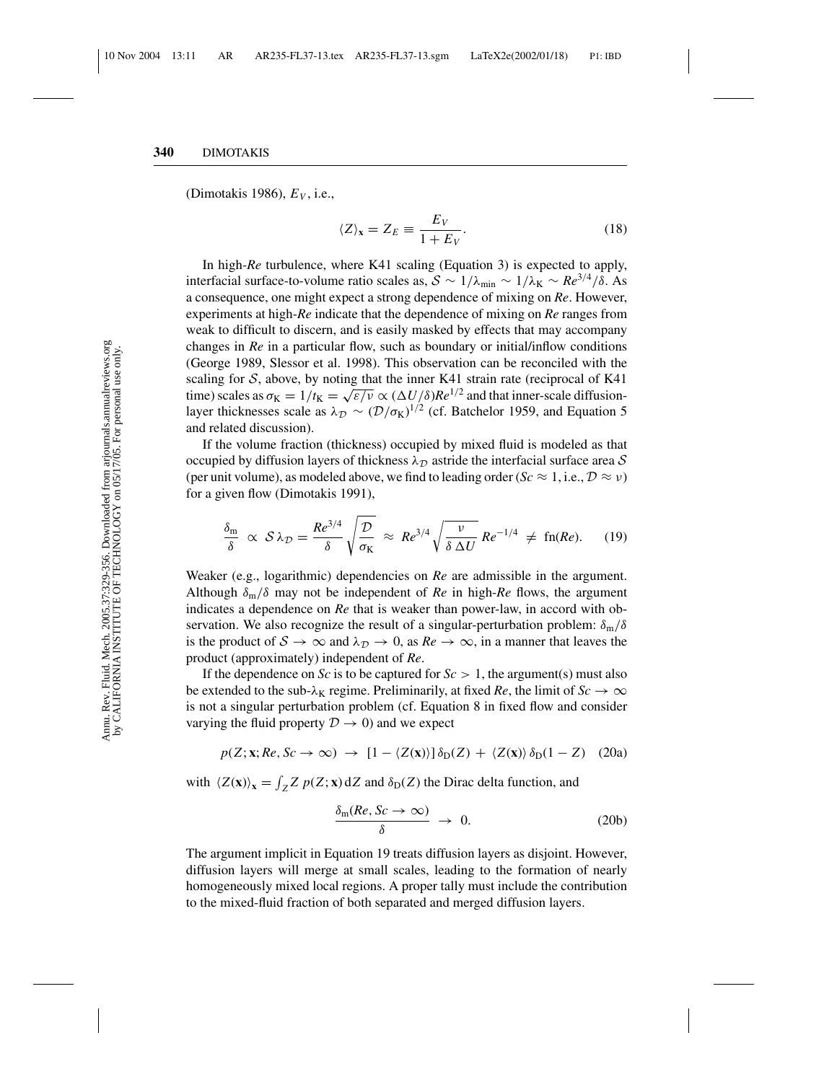(Dimotakis 1986), *EV* , i.e.,

$$
\langle Z \rangle_{\mathbf{x}} = Z_E \equiv \frac{E_V}{1 + E_V}.\tag{18}
$$

In high-*Re* turbulence, where K41 scaling (Equation 3) is expected to apply, interfacial surface-to-volume ratio scales as,  $S \sim 1/\lambda_{min} \sim 1/\lambda_K \sim Re^{3/4}/\delta$ . As a consequence, one might expect a strong dependence of mixing on *Re*. However, experiments at high-*Re* indicate that the dependence of mixing on *Re* ranges from weak to difficult to discern, and is easily masked by effects that may accompany changes in *Re* in a particular flow, such as boundary or initial/inflow conditions (George 1989, Slessor et al. 1998). This observation can be reconciled with the scaling for  $S$ , above, by noting that the inner K41 strain rate (reciprocal of K41 time) scales as  $\sigma_K = 1/t_K = \sqrt{\varepsilon/\nu} \propto (\Delta U/\delta)Re^{1/2}$  and that inner-scale diffusionlayer thicknesses scale as  $\lambda_{\mathcal{D}} \sim (\mathcal{D}/\sigma_K)^{1/2}$  (cf. Batchelor 1959, and Equation 5 and related discussion).

If the volume fraction (thickness) occupied by mixed fluid is modeled as that occupied by diffusion layers of thickness  $\lambda_D$  astride the interfacial surface area S (per unit volume), as modeled above, we find to leading order ( $Sc \approx 1$ , i.e.,  $D \approx \nu$ ) for a given flow (Dimotakis 1991),

$$
\frac{\delta_{\rm m}}{\delta} \propto S \lambda_{\mathcal{D}} = \frac{Re^{3/4}}{\delta} \sqrt{\frac{\mathcal{D}}{\sigma_{\rm K}}} \approx Re^{3/4} \sqrt{\frac{\nu}{\delta \Delta U}} Re^{-1/4} \neq \text{fn}(Re). \quad (19)
$$

Weaker (e.g., logarithmic) dependencies on *Re* are admissible in the argument. Although  $\delta_{\rm m}/\delta$  may not be independent of *Re* in high-*Re* flows, the argument indicates a dependence on *Re* that is weaker than power-law, in accord with observation. We also recognize the result of a singular-perturbation problem:  $\delta_m/\delta$ is the product of  $S \to \infty$  and  $\lambda_{\mathcal{D}} \to 0$ , as  $Re \to \infty$ , in a manner that leaves the product (approximately) independent of *Re*.

If the dependence on *Sc* is to be captured for  $Sc > 1$ , the argument(s) must also be extended to the sub- $\lambda_K$  regime. Preliminarily, at fixed *Re*, the limit of *Sc*  $\rightarrow \infty$ is not a singular perturbation problem (cf. Equation 8 in fixed flow and consider varying the fluid property  $D \to 0$ ) and we expect<br>  $p(Z; \mathbf{x}; Re, Sc \to \infty) \to [1 - \langle Z(\mathbf{x}) \rangle] \delta_D$ <br>
with  $\langle Z(\mathbf{x}) \rangle_{\mathbf{x}} = \int_Z Z p(Z; \mathbf{x}) dZ$  and  $\delta_D(Z)$  the D

$$
p(Z; \mathbf{x}; Re, Sc \to \infty) \to [1 - \langle Z(\mathbf{x}) \rangle] \delta_{\text{D}}(Z) + \langle Z(\mathbf{x}) \rangle \delta_{\text{D}}(1 - Z) \quad (20a)
$$

with  $\langle Z(\mathbf{x}) \rangle_{\mathbf{x}} = \int_{\mathcal{I}} Z \ p(Z; \mathbf{x}) dZ$  and  $\delta_{\mathcal{D}}(Z)$  the Dirac delta function, and

$$
\frac{\delta_{\rm m}(Re, Sc \to \infty)}{\delta} \to 0. \tag{20b}
$$

The argument implicit in Equation 19 treats diffusion layers as disjoint. However, diffusion layers will merge at small scales, leading to the formation of nearly homogeneously mixed local regions. A proper tally must include the contribution to the mixed-fluid fraction of both separated and merged diffusion layers.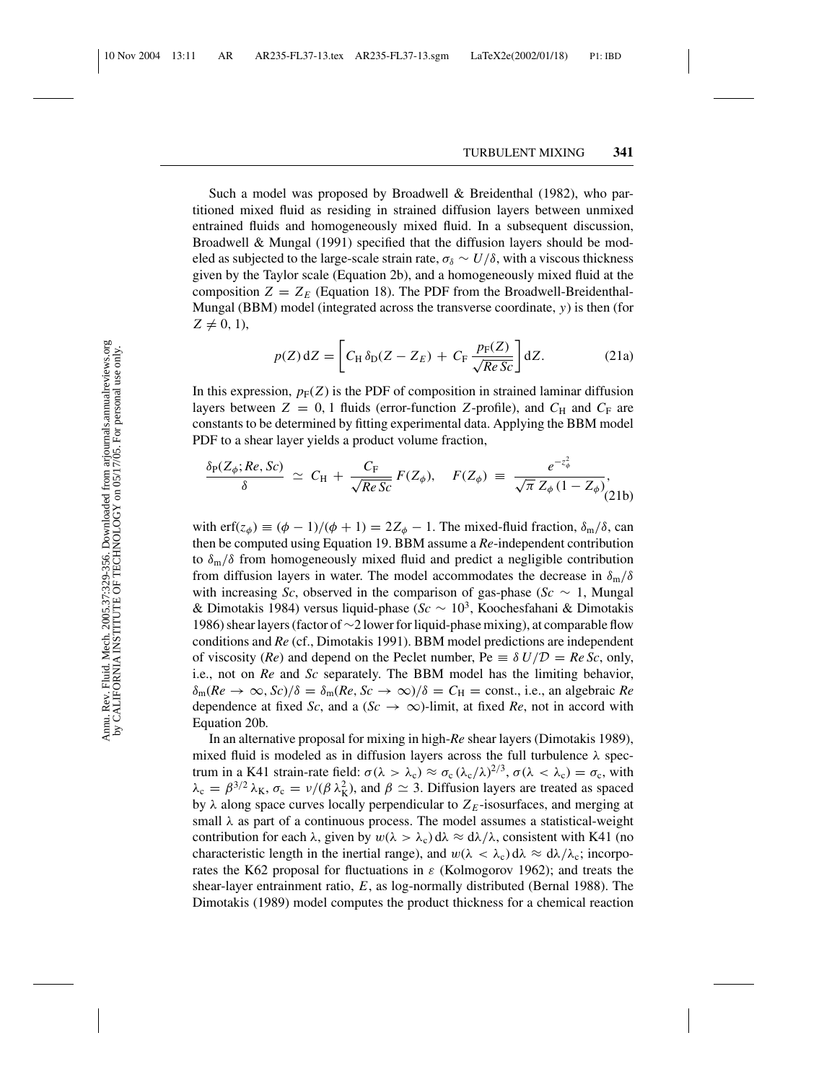Such a model was proposed by Broadwell & Breidenthal (1982), who partitioned mixed fluid as residing in strained diffusion layers between unmixed entrained fluids and homogeneously mixed fluid. In a subsequent discussion, Broadwell & Mungal (1991) specified that the diffusion layers should be modeled as subjected to the large-scale strain rate,  $\sigma_{\delta} \sim U/\delta$ , with a viscous thickness given by the Taylor scale (Equation 2b), and a homogeneously mixed fluid at the composition *Z* = *Z<sub>E</sub>* (Equation 18). The PDF from the Broadwell-Breidenthal-<br>Mungal (BBM) model (integrated across the transverse coordinate, *y*) is then (for<br> $Z \neq 0, 1$ ),<br> $p(Z) dZ = \left[ C_H \delta_D (Z - Z_E) + C_F \frac{p_F(Z)}{\sqrt{Re Sc}} \right] dZ.$ Mungal (BBM) model (integrated across the transverse coordinate, *y*) is then (for  $Z \neq 0, 1$ ,

$$
p(Z) dZ = \left[ C_{\rm H} \delta_{\rm D} (Z - Z_E) + C_{\rm F} \frac{p_{\rm F}(Z)}{\sqrt{Re S_c}} \right] dZ.
$$
 (21a)

In this expression,  $p_F(Z)$  is the PDF of composition in strained laminar diffusion layers between  $Z = 0$ , 1 fluids (error-function *Z*-profile), and  $C_H$  and  $C_F$  are constants to be determined by fitting experimental data. Applying the BBM model PDF to a shear layer yields a product volume fraction,

$$
\frac{\delta_{\rm P}(Z_{\phi}; Re, Sc)}{\delta} \simeq C_{\rm H} + \frac{C_{\rm F}}{\sqrt{Re Sc}} F(Z_{\phi}), \quad F(Z_{\phi}) \equiv \frac{e^{-z_{\phi}^2}}{\sqrt{\pi} Z_{\phi} (1 - Z_{\phi})},
$$
\n(21b)

with erf( $z_{\phi}$ )  $\equiv (\phi - 1)/(\phi + 1) = 2Z_{\phi} - 1$ . The mixed-fluid fraction,  $\delta_{\rm m}/\delta$ , can then be computed using Equation 19. BBM assume a *Re*-independent contribution to  $\delta_{\rm m}/\delta$  from homogeneously mixed fluid and predict a negligible contribution from diffusion layers in water. The model accommodates the decrease in  $\delta_{\rm m}/\delta$ with increasing *Sc*, observed in the comparison of gas-phase (*Sc* ∼ 1, Mungal & Dimotakis 1984) versus liquid-phase (*Sc* <sup>∼</sup> 103, Koochesfahani & Dimotakis 1986) shear layers (factor of ∼2 lower for liquid-phase mixing), at comparable flow conditions and *Re* (cf., Dimotakis 1991). BBM model predictions are independent of viscosity (*Re*) and depend on the Peclet number,  $Pe \equiv \delta U/D = Re Sc$ , only, i.e., not on *Re* and *Sc* separately. The BBM model has the limiting behavior,  $\delta_{\rm m}(Re \to \infty, Sc)/\delta = \delta_{\rm m}(Re, Sc \to \infty)/\delta = C_{\rm H} = \text{const.}$ , i.e., an algebraic *Re* dependence at fixed *Sc*, and a (*Sc*  $\rightarrow \infty$ )-limit, at fixed *Re*, not in accord with Equation 20b.

In an alternative proposal for mixing in high-*Re* shear layers (Dimotakis 1989), mixed fluid is modeled as in diffusion layers across the full turbulence  $\lambda$  spectrum in a K41 strain-rate field:  $\sigma(\lambda > \lambda_c) \approx \sigma_c (\lambda_c/\lambda)^{2/3}$ ,  $\sigma(\lambda < \lambda_c) = \sigma_c$ , with  $\lambda_c = \beta^{3/2} \lambda_K$ ,  $\sigma_c = \nu/(\beta \lambda_K^2)$ , and  $\beta \simeq 3$ . Diffusion layers are treated as spaced by  $\lambda$  along space curves locally perpendicular to  $Z_E$ -isosurfaces, and merging at small  $\lambda$  as part of a continuous process. The model assumes a statistical-weight contribution for each  $\lambda$ , given by  $w(\lambda > \lambda_c) d\lambda \approx d\lambda/\lambda$ , consistent with K41 (no characteristic length in the inertial range), and  $w(\lambda < \lambda_c) d\lambda \approx d\lambda/\lambda_c$ ; incorporates the K62 proposal for fluctuations in  $\varepsilon$  (Kolmogorov 1962); and treats the shear-layer entrainment ratio, *E*, as log-normally distributed (Bernal 1988). The Dimotakis (1989) model computes the product thickness for a chemical reaction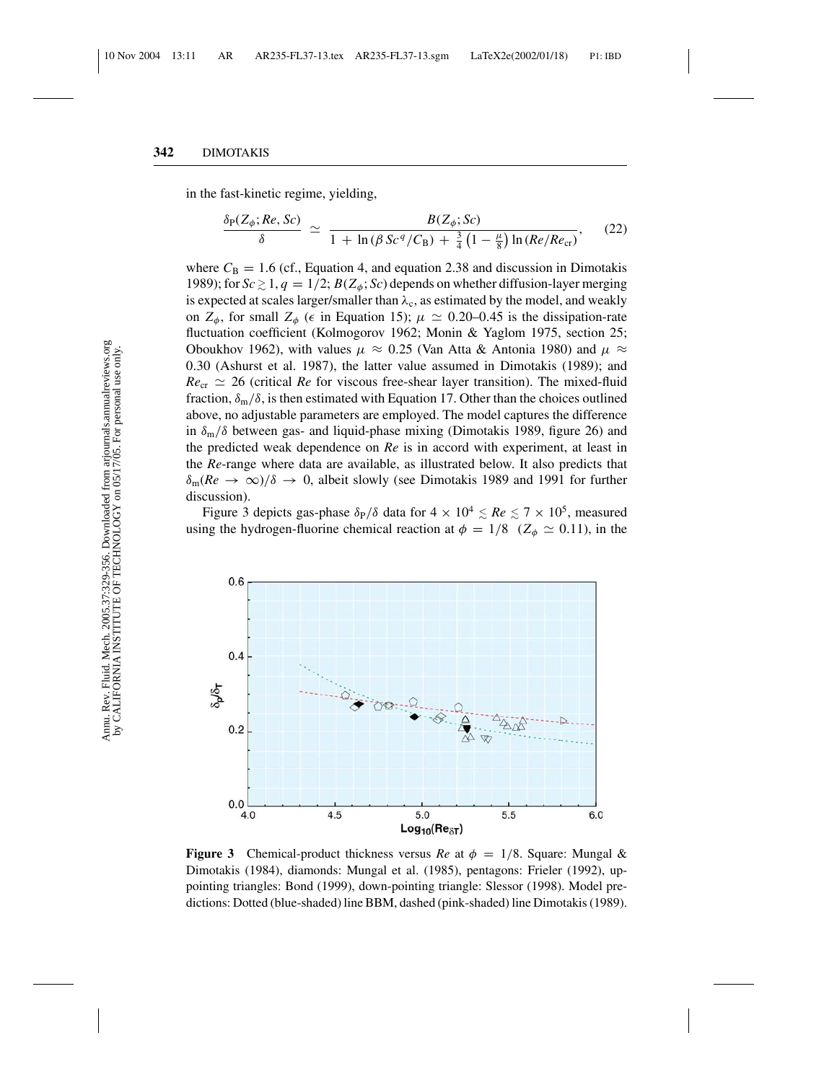in the fast-kinetic regime, yielding,

$$
\frac{\delta_{\rm P}(Z_{\phi}; Re, Sc)}{\delta} \simeq \frac{B(Z_{\phi}; Sc)}{1 + \ln(\beta Sc^q/C_{\rm B}) + \frac{3}{4}\left(1 - \frac{\mu}{8}\right)\ln\left(Re/Re_{\rm cr}\right)},\tag{22}
$$

where  $C_{\text{B}} = 1.6$  (cf., Equation 4, and equation 2.38 and discussion in Dimotakis 1989); for  $Sc \geq 1, q = 1/2$ ;  $B(Z_{\phi}; Sc)$  depends on whether diffusion-layer merging is expected at scales larger/smaller than  $\lambda_c$ , as estimated by the model, and weakly on  $Z_{\phi}$ , for small  $Z_{\phi}$  ( $\epsilon$  in Equation 15);  $\mu \simeq 0.20{\text -}0.45$  is the dissipation-rate fluctuation coefficient (Kolmogorov 1962; Monin & Yaglom 1975, section 25; Oboukhov 1962), with values  $\mu \approx 0.25$  (Van Atta & Antonia 1980) and  $\mu \approx$ 0.30 (Ashurst et al. 1987), the latter value assumed in Dimotakis (1989); and  $Re<sub>cr</sub> \simeq 26$  (critical *Re* for viscous free-shear layer transition). The mixed-fluid fraction,  $\delta_{\rm m}/\delta$ , is then estimated with Equation 17. Other than the choices outlined above, no adjustable parameters are employed. The model captures the difference in  $\delta_{\rm m}/\delta$  between gas- and liquid-phase mixing (Dimotakis 1989, figure 26) and the predicted weak dependence on *Re* is in accord with experiment, at least in the *Re*-range where data are available, as illustrated below. It also predicts that  $\delta_{\rm m}(Re \to \infty)/\delta \to 0$ , albeit slowly (see Dimotakis 1989 and 1991 for further discussion).

Figure 3 depicts gas-phase  $\delta_P/\delta$  data for  $4 \times 10^4 \le Re \le 7 \times 10^5$ , measured using the hydrogen-fluorine chemical reaction at  $\phi = 1/8$  ( $Z_{\phi} \simeq 0.11$ ), in the



**Figure 3** Chemical-product thickness versus  $Re$  at  $\phi = 1/8$ . Square: Mungal & Dimotakis (1984), diamonds: Mungal et al. (1985), pentagons: Frieler (1992), uppointing triangles: Bond (1999), down-pointing triangle: Slessor (1998). Model predictions: Dotted (blue-shaded) line BBM, dashed (pink-shaded) line Dimotakis (1989).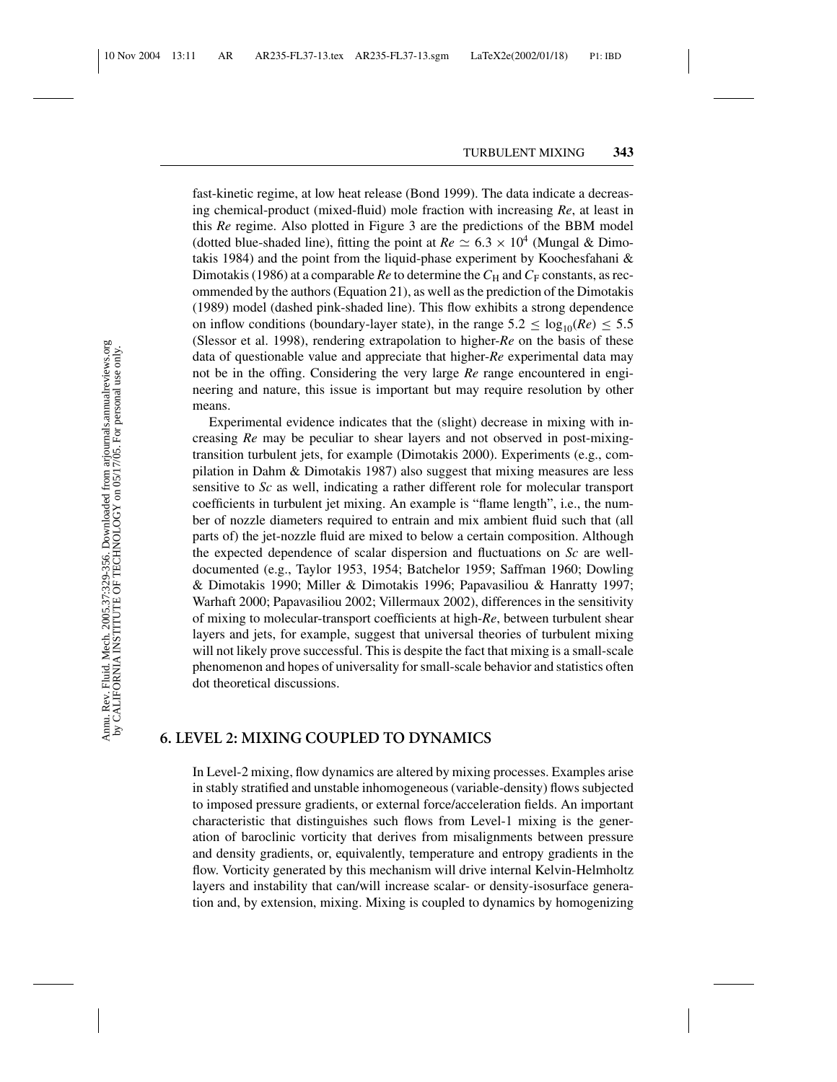fast-kinetic regime, at low heat release (Bond 1999). The data indicate a decreasing chemical-product (mixed-fluid) mole fraction with increasing *Re*, at least in this *Re* regime. Also plotted in Figure 3 are the predictions of the BBM model (dotted blue-shaded line), fitting the point at  $Re \simeq 6.3 \times 10^4$  (Mungal & Dimotakis 1984) and the point from the liquid-phase experiment by Koochesfahani & Dimotakis (1986) at a comparable *Re* to determine the  $C_H$  and  $C_F$  constants, as recommended by the authors (Equation 21), as well as the prediction of the Dimotakis (1989) model (dashed pink-shaded line). This flow exhibits a strong dependence on inflow conditions (boundary-layer state), in the range  $5.2 \le \log_{10}(Re) \le 5.5$ (Slessor et al. 1998), rendering extrapolation to higher-*Re* on the basis of these data of questionable value and appreciate that higher-*Re* experimental data may not be in the offing. Considering the very large *Re* range encountered in engineering and nature, this issue is important but may require resolution by other means.

Experimental evidence indicates that the (slight) decrease in mixing with increasing *Re* may be peculiar to shear layers and not observed in post-mixingtransition turbulent jets, for example (Dimotakis 2000). Experiments (e.g., compilation in Dahm & Dimotakis 1987) also suggest that mixing measures are less sensitive to *Sc* as well, indicating a rather different role for molecular transport coefficients in turbulent jet mixing. An example is "flame length", i.e., the number of nozzle diameters required to entrain and mix ambient fluid such that (all parts of) the jet-nozzle fluid are mixed to below a certain composition. Although the expected dependence of scalar dispersion and fluctuations on *Sc* are welldocumented (e.g., Taylor 1953, 1954; Batchelor 1959; Saffman 1960; Dowling & Dimotakis 1990; Miller & Dimotakis 1996; Papavasiliou & Hanratty 1997; Warhaft 2000; Papavasiliou 2002; Villermaux 2002), differences in the sensitivity of mixing to molecular-transport coefficients at high-*Re*, between turbulent shear layers and jets, for example, suggest that universal theories of turbulent mixing will not likely prove successful. This is despite the fact that mixing is a small-scale phenomenon and hopes of universality for small-scale behavior and statistics often dot theoretical discussions.

#### **6. LEVEL 2: MIXING COUPLED TO DYNAMICS**

In Level-2 mixing, flow dynamics are altered by mixing processes. Examples arise in stably stratified and unstable inhomogeneous (variable-density) flows subjected to imposed pressure gradients, or external force/acceleration fields. An important characteristic that distinguishes such flows from Level-1 mixing is the generation of baroclinic vorticity that derives from misalignments between pressure and density gradients, or, equivalently, temperature and entropy gradients in the flow. Vorticity generated by this mechanism will drive internal Kelvin-Helmholtz layers and instability that can/will increase scalar- or density-isosurface generation and, by extension, mixing. Mixing is coupled to dynamics by homogenizing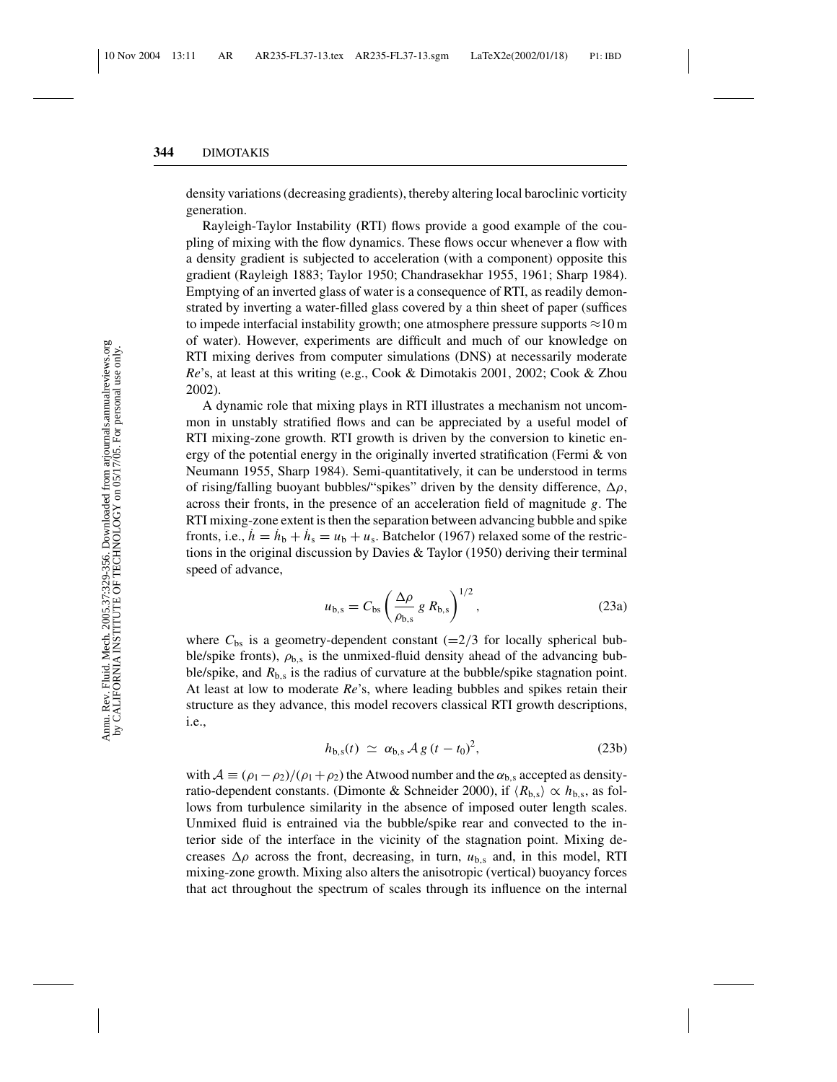density variations (decreasing gradients), thereby altering local baroclinic vorticity generation.

Rayleigh-Taylor Instability (RTI) flows provide a good example of the coupling of mixing with the flow dynamics. These flows occur whenever a flow with a density gradient is subjected to acceleration (with a component) opposite this gradient (Rayleigh 1883; Taylor 1950; Chandrasekhar 1955, 1961; Sharp 1984). Emptying of an inverted glass of water is a consequence of RTI, as readily demonstrated by inverting a water-filled glass covered by a thin sheet of paper (suffices to impede interfacial instability growth; one atmosphere pressure supports  $\approx$ 10 m of water). However, experiments are difficult and much of our knowledge on RTI mixing derives from computer simulations (DNS) at necessarily moderate *Re*'s, at least at this writing (e.g., Cook & Dimotakis 2001, 2002; Cook & Zhou 2002).

A dynamic role that mixing plays in RTI illustrates a mechanism not uncommon in unstably stratified flows and can be appreciated by a useful model of RTI mixing-zone growth. RTI growth is driven by the conversion to kinetic energy of the potential energy in the originally inverted stratification (Fermi & von Neumann 1955, Sharp 1984). Semi-quantitatively, it can be understood in terms of rising/falling buoyant bubbles/"spikes" driven by the density difference,  $\Delta \rho$ , across their fronts, in the presence of an acceleration field of magnitude *g*. The RTI mixing-zone extent is then the separation between advancing bubble and spike fronts, i.e.,  $\dot{h} = \dot{h}_b + \dot{h}_s = u_b + u_s$ . Batchelor (1967) relaxed some of the restrictions in the original discussion by Davies & Taylor (1950) deriving their terminal speed of advance,  $= u_{\rm b} + u_{\rm s}$ . Batch<br>ssion by Davies<br> $u_{\rm b,s} = C_{\rm bs} \left( \frac{\Delta \rho}{\rho_{\rm s}} \right)$ 

$$
u_{b,s} = C_{bs} \left( \frac{\Delta \rho}{\rho_{b,s}} g R_{b,s} \right)^{1/2},
$$
 (23a)

where  $C_{\text{bs}}$  is a geometry-dependent constant  $(=2/3$  for locally spherical bubble/spike fronts),  $\rho_{\rm b,s}$  is the unmixed-fluid density ahead of the advancing bubble/spike, and  $R_{b,s}$  is the radius of curvature at the bubble/spike stagnation point. At least at low to moderate *Re*'s, where leading bubbles and spikes retain their structure as they advance, this model recovers classical RTI growth descriptions, i.e.,

$$
h_{\mathrm{b},\mathrm{s}}(t) \simeq \alpha_{\mathrm{b},\mathrm{s}} \mathcal{A} g (t-t_0)^2, \tag{23b}
$$

with  $A \equiv (\rho_1 - \rho_2)/(\rho_1 + \rho_2)$  the Atwood number and the  $\alpha_{\rm b,s}$  accepted as densityratio-dependent constants. (Dimonte & Schneider 2000), if  $\langle R_{\rm b,s} \rangle \propto h_{\rm b,s}$ , as follows from turbulence similarity in the absence of imposed outer length scales. Unmixed fluid is entrained via the bubble/spike rear and convected to the interior side of the interface in the vicinity of the stagnation point. Mixing decreases  $\Delta \rho$  across the front, decreasing, in turn,  $u_{b,s}$  and, in this model, RTI mixing-zone growth. Mixing also alters the anisotropic (vertical) buoyancy forces that act throughout the spectrum of scales through its influence on the internal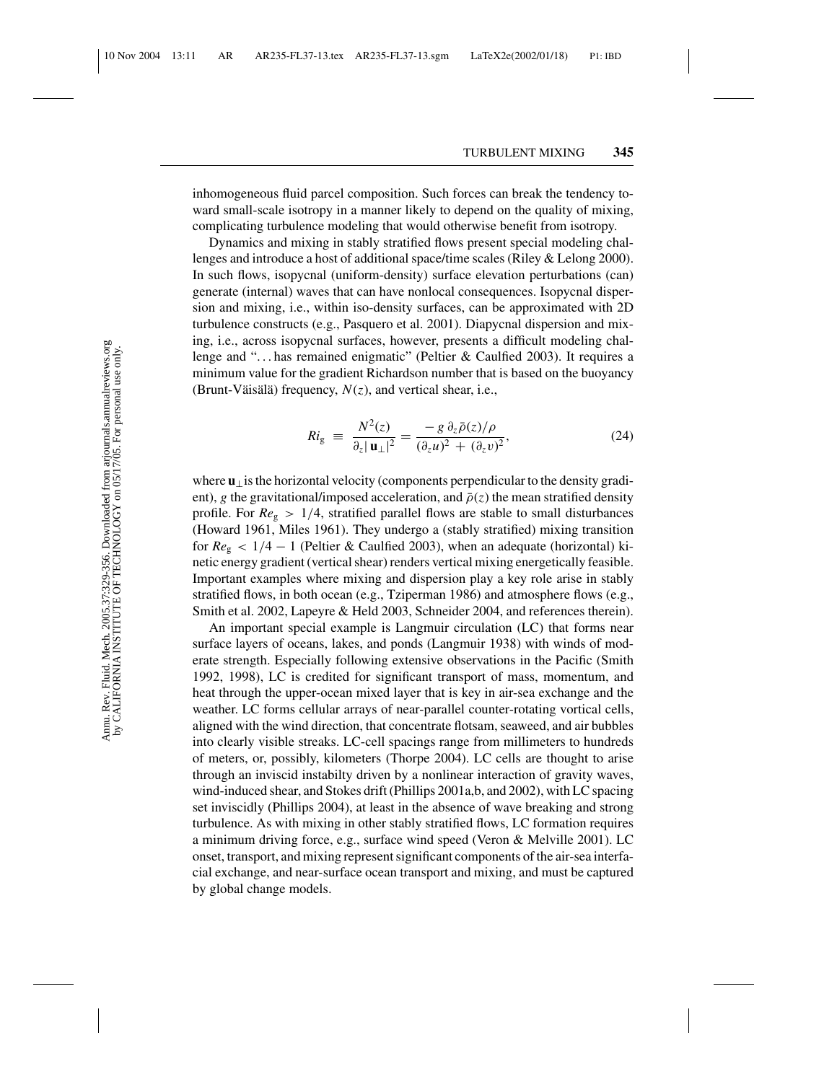inhomogeneous fluid parcel composition. Such forces can break the tendency toward small-scale isotropy in a manner likely to depend on the quality of mixing, complicating turbulence modeling that would otherwise benefit from isotropy.

Dynamics and mixing in stably stratified flows present special modeling challenges and introduce a host of additional space/time scales (Riley & Lelong 2000). In such flows, isopycnal (uniform-density) surface elevation perturbations (can) generate (internal) waves that can have nonlocal consequences. Isopycnal dispersion and mixing, i.e., within iso-density surfaces, can be approximated with 2D turbulence constructs (e.g., Pasquero et al. 2001). Diapycnal dispersion and mixing, i.e., across isopycnal surfaces, however, presents a difficult modeling challenge and "... has remained enigmatic" (Peltier & Caulfied 2003). It requires a minimum value for the gradient Richardson number that is based on the buoyancy (Brunt-Väisälä) frequency,  $N(z)$ , and vertical shear, i.e.,

$$
Ri_{g} \equiv \frac{N^{2}(z)}{\partial_{z}|\mathbf{u}_{\perp}|^{2}} = \frac{-g \,\partial_{z}\bar{\rho}(z)/\rho}{(\partial_{z}u)^{2} + (\partial_{z}v)^{2}},\tag{24}
$$

where **u**⊥ is the horizontal velocity (components perpendicular to the density gradient), *g* the gravitational/imposed acceleration, and  $\bar{\rho}(z)$  the mean stratified density profile. For  $Re_g > 1/4$ , stratified parallel flows are stable to small disturbances (Howard 1961, Miles 1961). They undergo a (stably stratified) mixing transition for *Re*<sup>g</sup> < 1/4 − 1 (Peltier & Caulfied 2003), when an adequate (horizontal) kinetic energy gradient (vertical shear) renders vertical mixing energetically feasible. Important examples where mixing and dispersion play a key role arise in stably stratified flows, in both ocean (e.g., Tziperman 1986) and atmosphere flows (e.g., Smith et al. 2002, Lapeyre & Held 2003, Schneider 2004, and references therein).

An important special example is Langmuir circulation (LC) that forms near surface layers of oceans, lakes, and ponds (Langmuir 1938) with winds of moderate strength. Especially following extensive observations in the Pacific (Smith 1992, 1998), LC is credited for significant transport of mass, momentum, and heat through the upper-ocean mixed layer that is key in air-sea exchange and the weather. LC forms cellular arrays of near-parallel counter-rotating vortical cells, aligned with the wind direction, that concentrate flotsam, seaweed, and air bubbles into clearly visible streaks. LC-cell spacings range from millimeters to hundreds of meters, or, possibly, kilometers (Thorpe 2004). LC cells are thought to arise through an inviscid instabilty driven by a nonlinear interaction of gravity waves, wind-induced shear, and Stokes drift (Phillips 2001a,b, and 2002), with LC spacing set inviscidly (Phillips 2004), at least in the absence of wave breaking and strong turbulence. As with mixing in other stably stratified flows, LC formation requires a minimum driving force, e.g., surface wind speed (Veron & Melville 2001). LC onset, transport, and mixing represent significant components of the air-sea interfacial exchange, and near-surface ocean transport and mixing, and must be captured by global change models.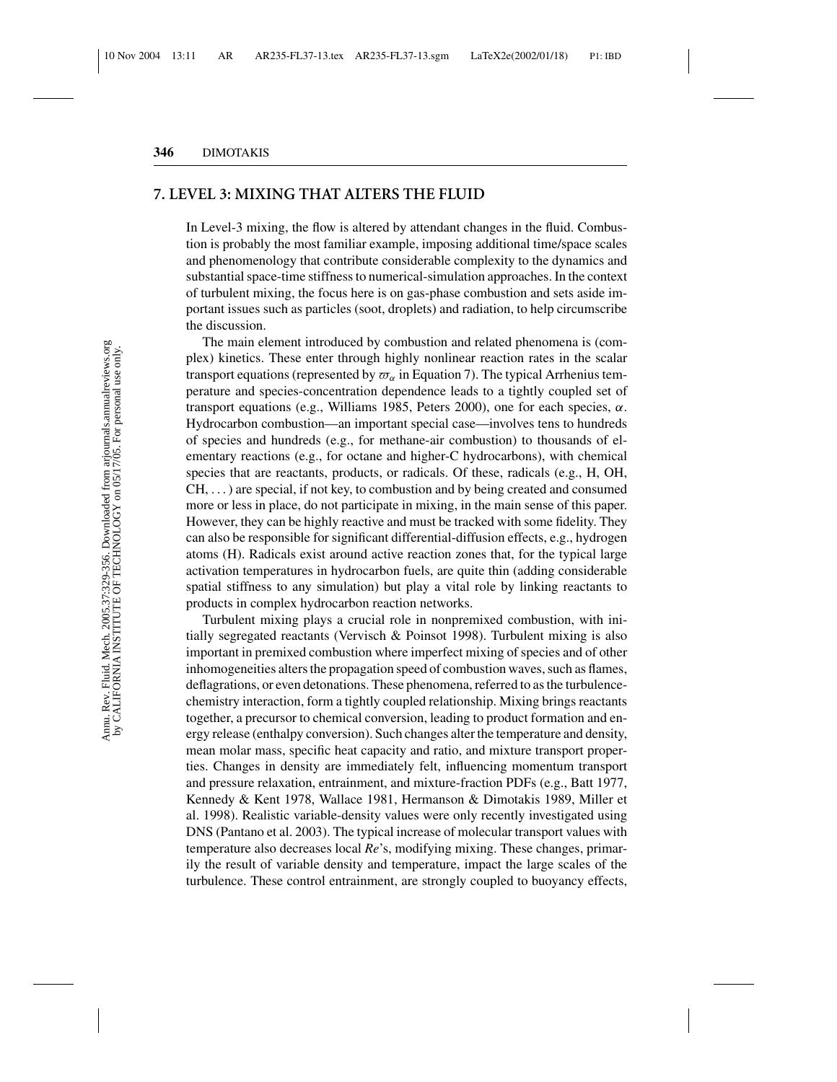#### **7. LEVEL 3: MIXING THAT ALTERS THE FLUID**

In Level-3 mixing, the flow is altered by attendant changes in the fluid. Combustion is probably the most familiar example, imposing additional time/space scales and phenomenology that contribute considerable complexity to the dynamics and substantial space-time stiffness to numerical-simulation approaches. In the context of turbulent mixing, the focus here is on gas-phase combustion and sets aside important issues such as particles (soot, droplets) and radiation, to help circumscribe the discussion.

The main element introduced by combustion and related phenomena is (complex) kinetics. These enter through highly nonlinear reaction rates in the scalar transport equations (represented by  $\varpi_{\alpha}$  in Equation 7). The typical Arrhenius temperature and species-concentration dependence leads to a tightly coupled set of transport equations (e.g., Williams 1985, Peters 2000), one for each species,  $\alpha$ . Hydrocarbon combustion—an important special case—involves tens to hundreds of species and hundreds (e.g., for methane-air combustion) to thousands of elementary reactions (e.g., for octane and higher-C hydrocarbons), with chemical species that are reactants, products, or radicals. Of these, radicals (e.g., H, OH, CH, . . . ) are special, if not key, to combustion and by being created and consumed more or less in place, do not participate in mixing, in the main sense of this paper. However, they can be highly reactive and must be tracked with some fidelity. They can also be responsible for significant differential-diffusion effects, e.g., hydrogen atoms (H). Radicals exist around active reaction zones that, for the typical large activation temperatures in hydrocarbon fuels, are quite thin (adding considerable spatial stiffness to any simulation) but play a vital role by linking reactants to products in complex hydrocarbon reaction networks.

Turbulent mixing plays a crucial role in nonpremixed combustion, with initially segregated reactants (Vervisch & Poinsot 1998). Turbulent mixing is also important in premixed combustion where imperfect mixing of species and of other inhomogeneities alters the propagation speed of combustion waves, such as flames, deflagrations, or even detonations. These phenomena, referred to as the turbulencechemistry interaction, form a tightly coupled relationship. Mixing brings reactants together, a precursor to chemical conversion, leading to product formation and energy release (enthalpy conversion). Such changes alter the temperature and density, mean molar mass, specific heat capacity and ratio, and mixture transport properties. Changes in density are immediately felt, influencing momentum transport and pressure relaxation, entrainment, and mixture-fraction PDFs (e.g., Batt 1977, Kennedy & Kent 1978, Wallace 1981, Hermanson & Dimotakis 1989, Miller et al. 1998). Realistic variable-density values were only recently investigated using DNS (Pantano et al. 2003). The typical increase of molecular transport values with temperature also decreases local *Re*'s, modifying mixing. These changes, primarily the result of variable density and temperature, impact the large scales of the turbulence. These control entrainment, are strongly coupled to buoyancy effects,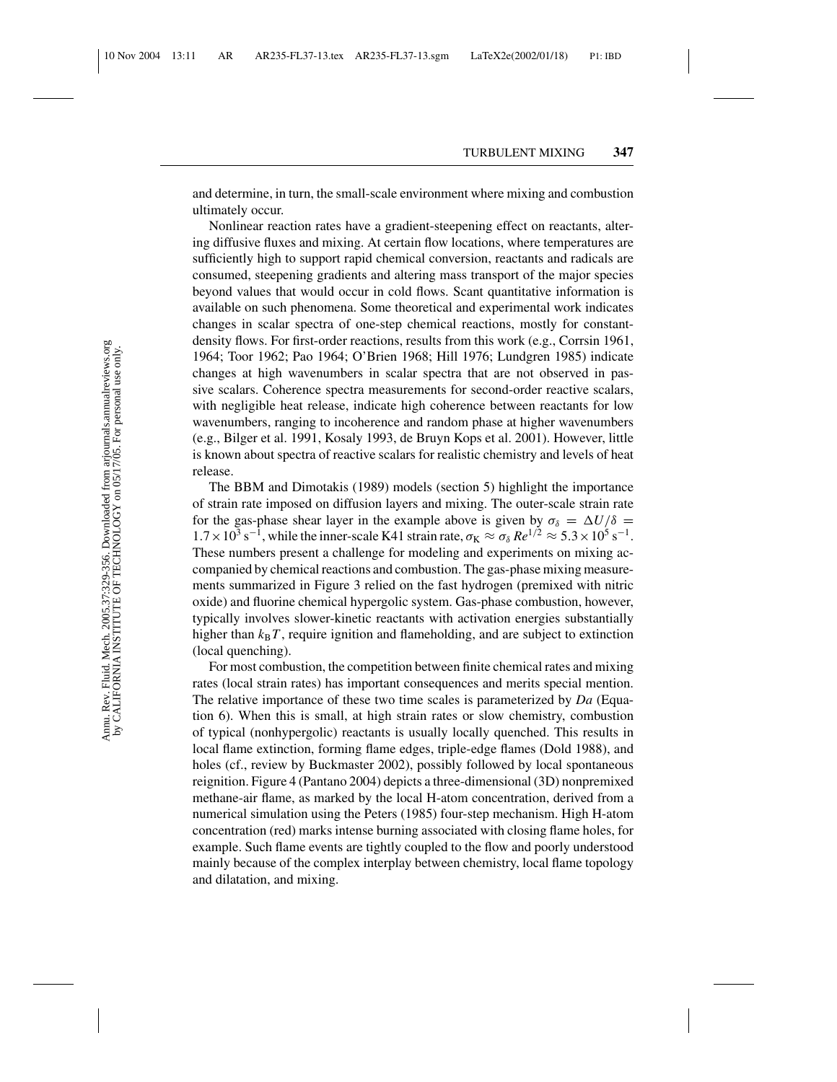and determine, in turn, the small-scale environment where mixing and combustion ultimately occur.

Nonlinear reaction rates have a gradient-steepening effect on reactants, altering diffusive fluxes and mixing. At certain flow locations, where temperatures are sufficiently high to support rapid chemical conversion, reactants and radicals are consumed, steepening gradients and altering mass transport of the major species beyond values that would occur in cold flows. Scant quantitative information is available on such phenomena. Some theoretical and experimental work indicates changes in scalar spectra of one-step chemical reactions, mostly for constantdensity flows. For first-order reactions, results from this work (e.g., Corrsin 1961, 1964; Toor 1962; Pao 1964; O'Brien 1968; Hill 1976; Lundgren 1985) indicate changes at high wavenumbers in scalar spectra that are not observed in passive scalars. Coherence spectra measurements for second-order reactive scalars, with negligible heat release, indicate high coherence between reactants for low wavenumbers, ranging to incoherence and random phase at higher wavenumbers (e.g., Bilger et al. 1991, Kosaly 1993, de Bruyn Kops et al. 2001). However, little is known about spectra of reactive scalars for realistic chemistry and levels of heat release.

The BBM and Dimotakis (1989) models (section 5) highlight the importance of strain rate imposed on diffusion layers and mixing. The outer-scale strain rate for the gas-phase shear layer in the example above is given by  $\sigma_{\delta} = \Delta U/\delta$  =  $1.7 \times 10^3$  s<sup>-1</sup>, while the inner-scale K41 strain rate,  $\sigma_K \approx \sigma_\delta Re^{1/2} \approx 5.3 \times 10^5$  s<sup>-1</sup>. These numbers present a challenge for modeling and experiments on mixing accompanied by chemical reactions and combustion. The gas-phase mixing measurements summarized in Figure 3 relied on the fast hydrogen (premixed with nitric oxide) and fluorine chemical hypergolic system. Gas-phase combustion, however, typically involves slower-kinetic reactants with activation energies substantially higher than  $k_B T$ , require ignition and flameholding, and are subject to extinction (local quenching).

For most combustion, the competition between finite chemical rates and mixing rates (local strain rates) has important consequences and merits special mention. The relative importance of these two time scales is parameterized by *Da* (Equation 6). When this is small, at high strain rates or slow chemistry, combustion of typical (nonhypergolic) reactants is usually locally quenched. This results in local flame extinction, forming flame edges, triple-edge flames (Dold 1988), and holes (cf., review by Buckmaster 2002), possibly followed by local spontaneous reignition. Figure 4 (Pantano 2004) depicts a three-dimensional (3D) nonpremixed methane-air flame, as marked by the local H-atom concentration, derived from a numerical simulation using the Peters (1985) four-step mechanism. High H-atom concentration (red) marks intense burning associated with closing flame holes, for example. Such flame events are tightly coupled to the flow and poorly understood mainly because of the complex interplay between chemistry, local flame topology and dilatation, and mixing.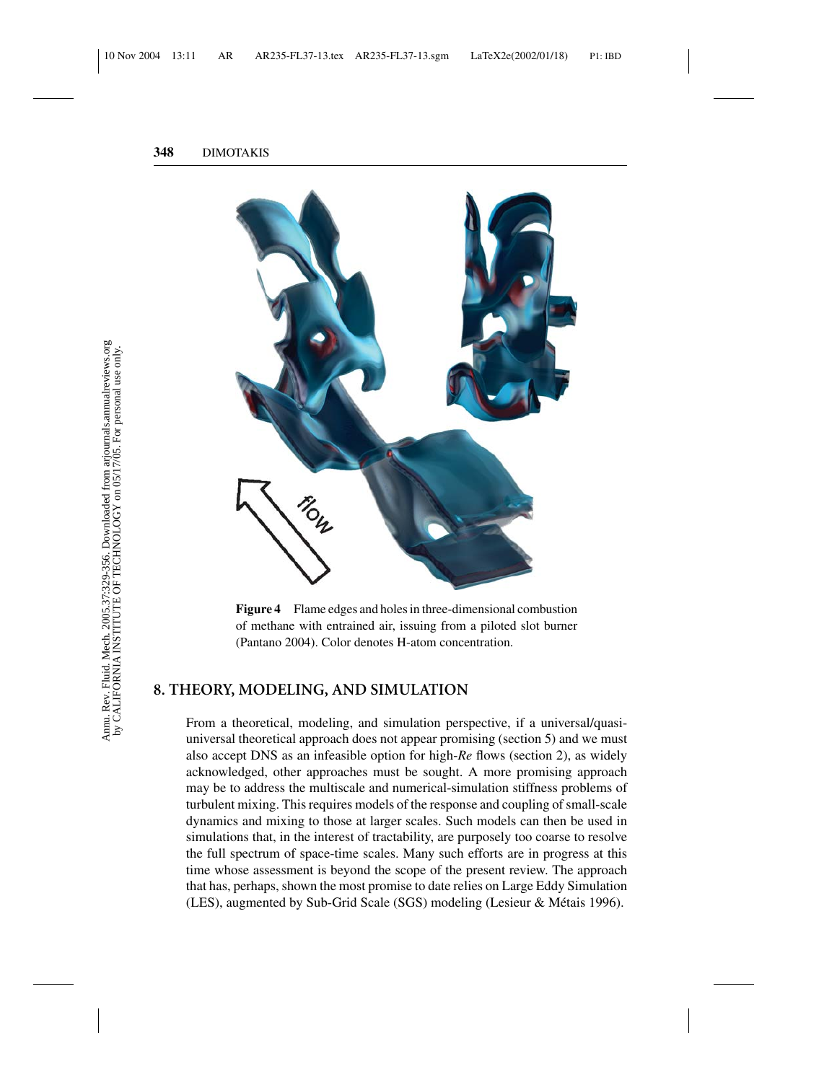

**Figure 4** Flame edges and holes in three-dimensional combustion of methane with entrained air, issuing from a piloted slot burner (Pantano 2004). Color denotes H-atom concentration.

## **8. THEORY, MODELING, AND SIMULATION**

From a theoretical, modeling, and simulation perspective, if a universal/quasiuniversal theoretical approach does not appear promising (section 5) and we must also accept DNS as an infeasible option for high-*Re* flows (section 2), as widely acknowledged, other approaches must be sought. A more promising approach may be to address the multiscale and numerical-simulation stiffness problems of turbulent mixing. This requires models of the response and coupling of small-scale dynamics and mixing to those at larger scales. Such models can then be used in simulations that, in the interest of tractability, are purposely too coarse to resolve the full spectrum of space-time scales. Many such efforts are in progress at this time whose assessment is beyond the scope of the present review. The approach that has, perhaps, shown the most promise to date relies on Large Eddy Simulation (LES), augmented by Sub-Grid Scale (SGS) modeling (Lesieur & Métais 1996).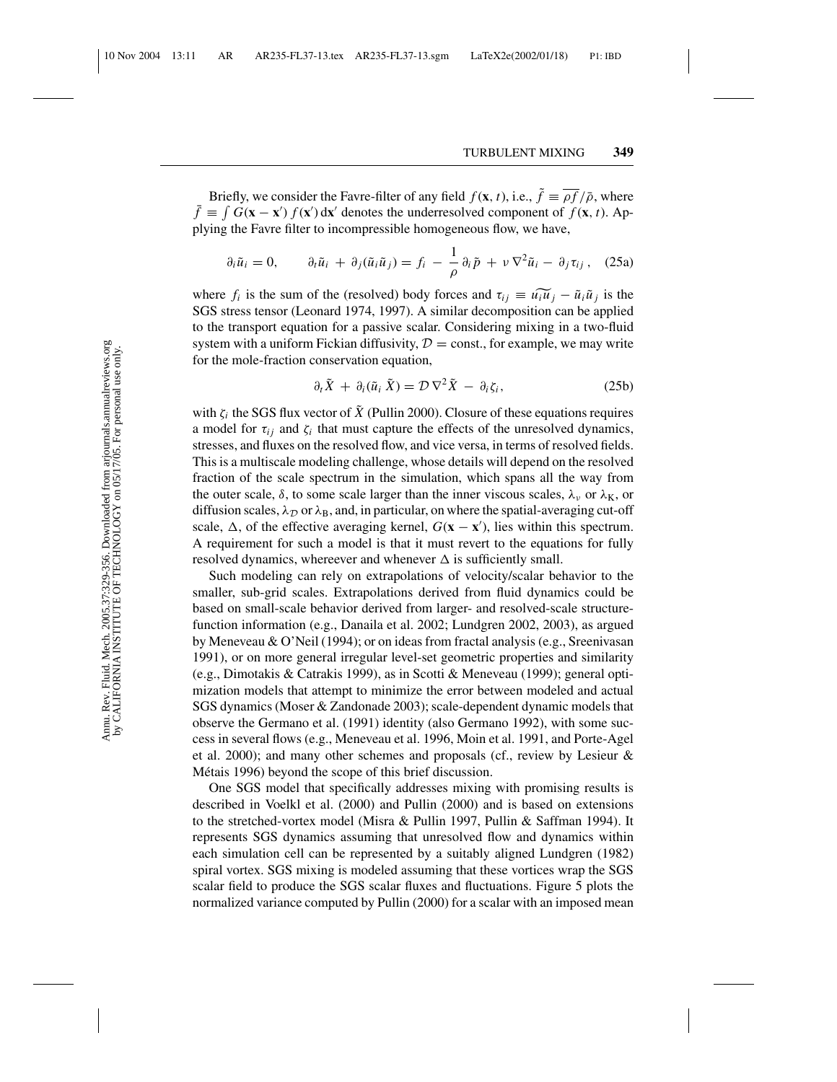Briefly, we consider the Favre-filter of any field  $f(\mathbf{x}, t)$ , i.e.,  $\tilde{f} \equiv \overline{\rho f}/\overline{\rho}$ , where  $f(\mathbf{x}')$  dx' denotes the underresolved component of  $f(\mathbf{x}, t)$ . Applying the Favre filter to incompressible homogeneous flow, we have,

$$
\partial_i \tilde{u}_i = 0, \qquad \partial_t \tilde{u}_i + \partial_j (\tilde{u}_i \tilde{u}_j) = f_i - \frac{1}{\rho} \partial_i \tilde{p} + \nu \nabla^2 \tilde{u}_i - \partial_j \tau_{ij}, \quad (25a)
$$

where  $f_i$  is the sum of the (resolved) body forces and  $\tau_{ij} \equiv u_i \widetilde{u}_j - \widetilde{u}_i \widetilde{u}_j$  is the SGS stress tensor (Leonard 1974, 1997). A similar decomposition can be applied to the transport equation for a passive scalar. Considering mixing in a two-fluid system with a uniform Fickian diffusivity,  $\mathcal{D} = \text{const.}$ , for example, we may write for the mole-fraction conservation equation,

$$
\partial_t \tilde{X} + \partial_i (\tilde{u}_i \tilde{X}) = \mathcal{D} \nabla^2 \tilde{X} - \partial_i \zeta_i, \qquad (25b)
$$

with  $\zeta_i$  the SGS flux vector of  $\tilde{X}$  (Pullin 2000). Closure of these equations requires a model for  $\tau_{ij}$  and  $\zeta_i$  that must capture the effects of the unresolved dynamics, stresses, and fluxes on the resolved flow, and vice versa, in terms of resolved fields. This is a multiscale modeling challenge, whose details will depend on the resolved fraction of the scale spectrum in the simulation, which spans all the way from the outer scale,  $\delta$ , to some scale larger than the inner viscous scales,  $\lambda_{\nu}$  or  $\lambda_{K}$ , or diffusion scales,  $\lambda_{\mathcal{D}}$  or  $\lambda_{\rm B}$ , and, in particular, on where the spatial-averaging cut-off scale,  $\Delta$ , of the effective averaging kernel,  $G(\mathbf{x} - \mathbf{x}')$ , lies within this spectrum. A requirement for such a model is that it must revert to the equations for fully resolved dynamics, whereever and whenever  $\Delta$  is sufficiently small.

Such modeling can rely on extrapolations of velocity/scalar behavior to the smaller, sub-grid scales. Extrapolations derived from fluid dynamics could be based on small-scale behavior derived from larger- and resolved-scale structurefunction information (e.g., Danaila et al. 2002; Lundgren 2002, 2003), as argued by Meneveau & O'Neil (1994); or on ideas from fractal analysis (e.g., Sreenivasan 1991), or on more general irregular level-set geometric properties and similarity (e.g., Dimotakis & Catrakis 1999), as in Scotti & Meneveau (1999); general optimization models that attempt to minimize the error between modeled and actual SGS dynamics (Moser & Zandonade 2003); scale-dependent dynamic models that observe the Germano et al. (1991) identity (also Germano 1992), with some success in several flows (e.g., Meneveau et al. 1996, Moin et al. 1991, and Porte-Agel et al. 2000); and many other schemes and proposals (cf., review by Lesieur & Métais 1996) beyond the scope of this brief discussion.

One SGS model that specifically addresses mixing with promising results is described in Voelkl et al. (2000) and Pullin (2000) and is based on extensions to the stretched-vortex model (Misra & Pullin 1997, Pullin & Saffman 1994). It represents SGS dynamics assuming that unresolved flow and dynamics within each simulation cell can be represented by a suitably aligned Lundgren (1982) spiral vortex. SGS mixing is modeled assuming that these vortices wrap the SGS scalar field to produce the SGS scalar fluxes and fluctuations. Figure 5 plots the normalized variance computed by Pullin (2000) for a scalar with an imposed mean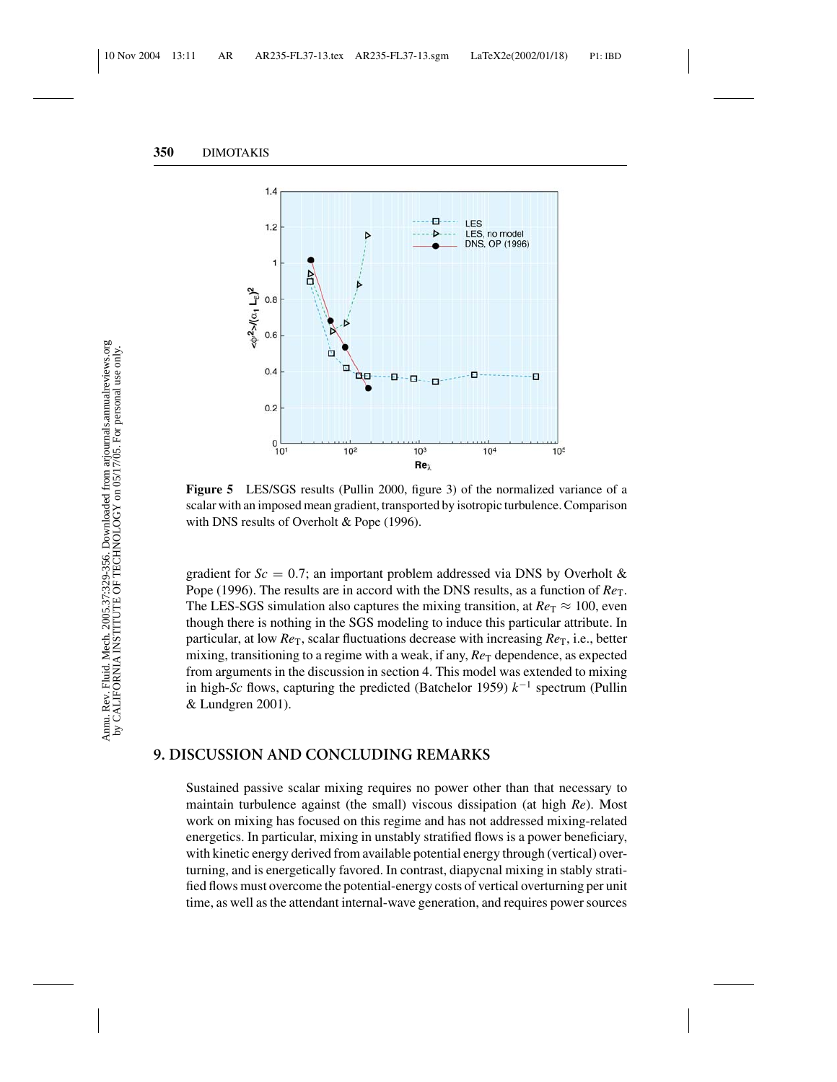

**Figure 5** LES/SGS results (Pullin 2000, figure 3) of the normalized variance of a scalar with an imposed mean gradient, transported by isotropic turbulence. Comparison with DNS results of Overholt & Pope (1996).

gradient for  $Sc = 0.7$ ; an important problem addressed via DNS by Overholt & Pope (1996). The results are in accord with the DNS results, as a function of *Re*<sub>T</sub>. The LES-SGS simulation also captures the mixing transition, at  $Re<sub>T</sub> \approx 100$ , even though there is nothing in the SGS modeling to induce this particular attribute. In particular, at low  $Re<sub>T</sub>$ , scalar fluctuations decrease with increasing  $Re<sub>T</sub>$ , i.e., better mixing, transitioning to a regime with a weak, if any,  $Re<sub>T</sub>$  dependence, as expected from arguments in the discussion in section 4. This model was extended to mixing in high-*Sc* flows, capturing the predicted (Batchelor 1959) *k*−<sup>1</sup> spectrum (Pullin & Lundgren 2001).

### **9. DISCUSSION AND CONCLUDING REMARKS**

Sustained passive scalar mixing requires no power other than that necessary to maintain turbulence against (the small) viscous dissipation (at high *Re*). Most work on mixing has focused on this regime and has not addressed mixing-related energetics. In particular, mixing in unstably stratified flows is a power beneficiary, with kinetic energy derived from available potential energy through (vertical) overturning, and is energetically favored. In contrast, diapycnal mixing in stably stratified flows must overcome the potential-energy costs of vertical overturning per unit time, as well as the attendant internal-wave generation, and requires power sources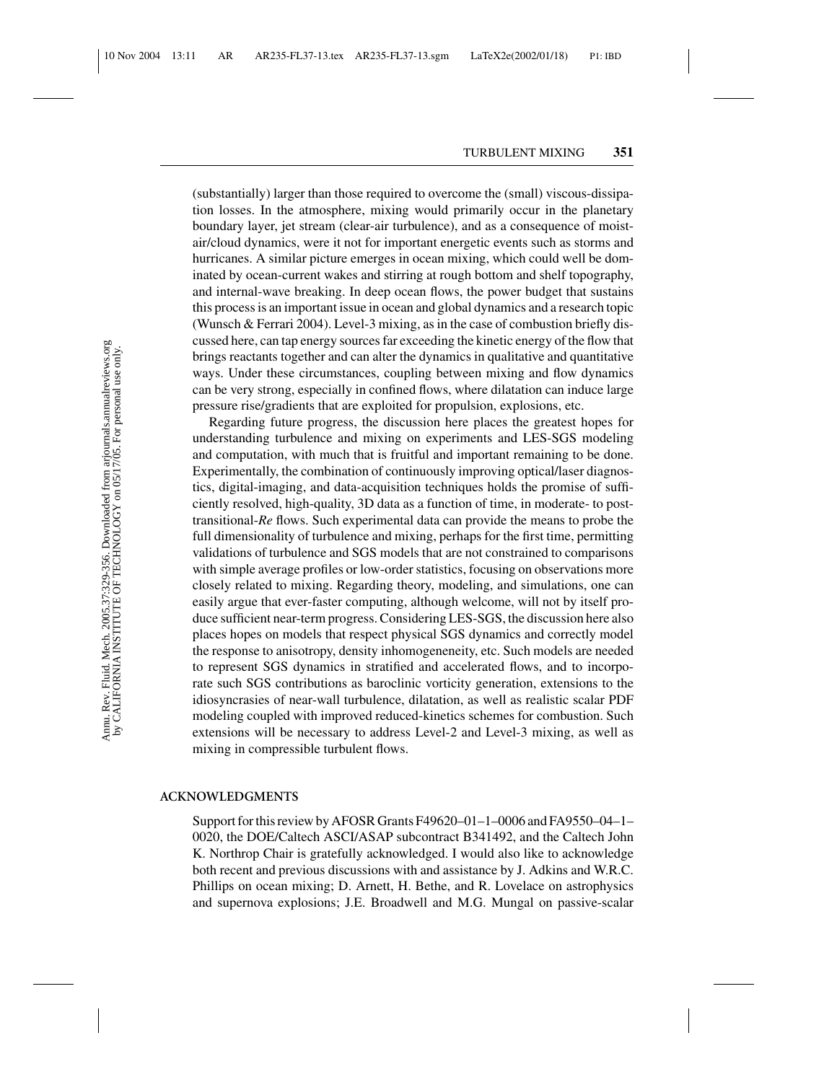(substantially) larger than those required to overcome the (small) viscous-dissipation losses. In the atmosphere, mixing would primarily occur in the planetary boundary layer, jet stream (clear-air turbulence), and as a consequence of moistair/cloud dynamics, were it not for important energetic events such as storms and hurricanes. A similar picture emerges in ocean mixing, which could well be dominated by ocean-current wakes and stirring at rough bottom and shelf topography, and internal-wave breaking. In deep ocean flows, the power budget that sustains this process is an important issue in ocean and global dynamics and a research topic (Wunsch & Ferrari 2004). Level-3 mixing, as in the case of combustion briefly discussed here, can tap energy sources far exceeding the kinetic energy of the flow that brings reactants together and can alter the dynamics in qualitative and quantitative ways. Under these circumstances, coupling between mixing and flow dynamics can be very strong, especially in confined flows, where dilatation can induce large pressure rise/gradients that are exploited for propulsion, explosions, etc.

Regarding future progress, the discussion here places the greatest hopes for understanding turbulence and mixing on experiments and LES-SGS modeling and computation, with much that is fruitful and important remaining to be done. Experimentally, the combination of continuously improving optical/laser diagnostics, digital-imaging, and data-acquisition techniques holds the promise of sufficiently resolved, high-quality, 3D data as a function of time, in moderate- to posttransitional-*Re* flows. Such experimental data can provide the means to probe the full dimensionality of turbulence and mixing, perhaps for the first time, permitting validations of turbulence and SGS models that are not constrained to comparisons with simple average profiles or low-order statistics, focusing on observations more closely related to mixing. Regarding theory, modeling, and simulations, one can easily argue that ever-faster computing, although welcome, will not by itself produce sufficient near-term progress. Considering LES-SGS, the discussion here also places hopes on models that respect physical SGS dynamics and correctly model the response to anisotropy, density inhomogeneneity, etc. Such models are needed to represent SGS dynamics in stratified and accelerated flows, and to incorporate such SGS contributions as baroclinic vorticity generation, extensions to the idiosyncrasies of near-wall turbulence, dilatation, as well as realistic scalar PDF modeling coupled with improved reduced-kinetics schemes for combustion. Such extensions will be necessary to address Level-2 and Level-3 mixing, as well as mixing in compressible turbulent flows.

#### **ACKNOWLEDGMENTS**

Support for this review by AFOSR Grants F49620–01–1–0006 and FA9550–04–1– 0020, the DOE/Caltech ASCI/ASAP subcontract B341492, and the Caltech John K. Northrop Chair is gratefully acknowledged. I would also like to acknowledge both recent and previous discussions with and assistance by J. Adkins and W.R.C. Phillips on ocean mixing; D. Arnett, H. Bethe, and R. Lovelace on astrophysics and supernova explosions; J.E. Broadwell and M.G. Mungal on passive-scalar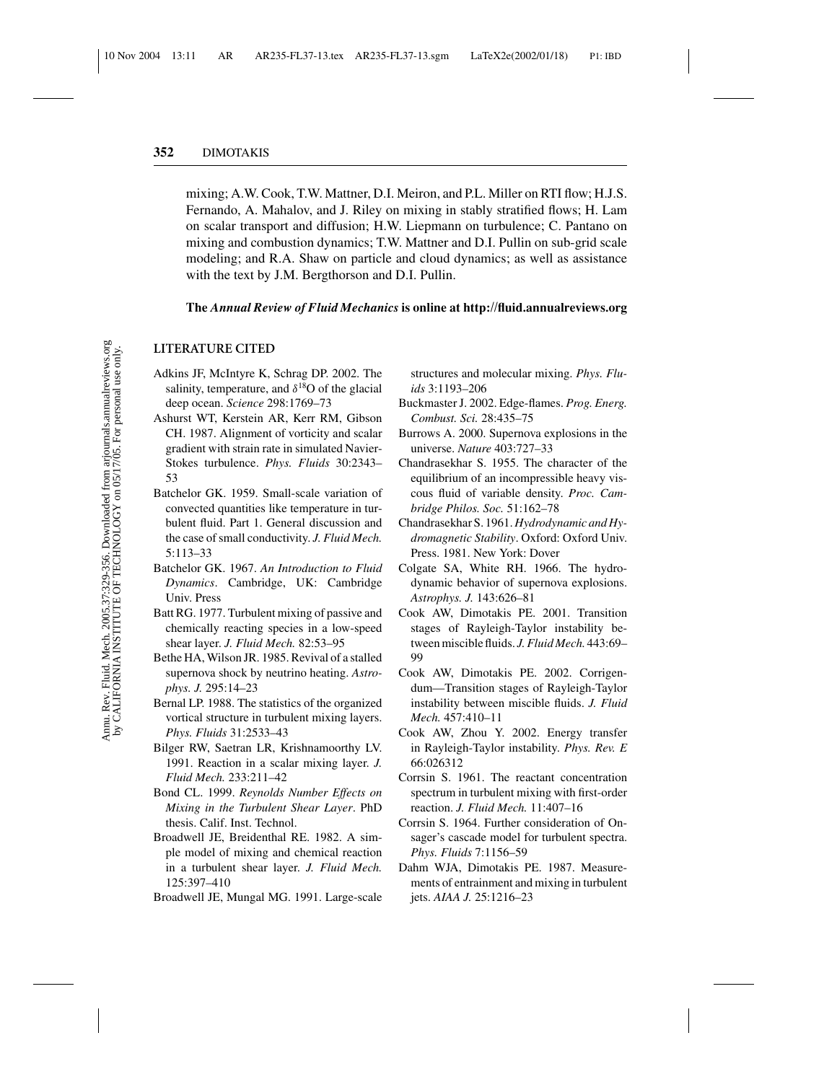mixing; A.W. Cook, T.W. Mattner, D.I. Meiron, and P.L. Miller on RTI flow; H.J.S. Fernando, A. Mahalov, and J. Riley on mixing in stably stratified flows; H. Lam on scalar transport and diffusion; H.W. Liepmann on turbulence; C. Pantano on mixing and combustion dynamics; T.W. Mattner and D.I. Pullin on sub-grid scale modeling; and R.A. Shaw on particle and cloud dynamics; as well as assistance with the text by J.M. Bergthorson and D.I. Pullin.

**The** *Annual Review of Fluid Mechanics* **is online at http://fluid.annualreviews.org**

#### **LITERATURE CITED**

- Adkins JF, McIntyre K, Schrag DP. 2002. The salinity, temperature, and  $\delta^{18}$ O of the glacial deep ocean. *Science* 298:1769–73
- Ashurst WT, Kerstein AR, Kerr RM, Gibson CH. 1987. Alignment of vorticity and scalar gradient with strain rate in simulated Navier-Stokes turbulence. *Phys. Fluids* 30:2343– 53
- Batchelor GK. 1959. Small-scale variation of convected quantities like temperature in turbulent fluid. Part 1. General discussion and the case of small conductivity. *J. Fluid Mech.* 5:113–33
- Batchelor GK. 1967. *An Introduction to Fluid Dynamics*. Cambridge, UK: Cambridge Univ. Press
- Batt RG. 1977. Turbulent mixing of passive and chemically reacting species in a low-speed shear layer. *J. Fluid Mech.* 82:53–95
- Bethe HA, Wilson JR. 1985. Revival of a stalled supernova shock by neutrino heating. *Astrophys. J.* 295:14–23
- Bernal LP. 1988. The statistics of the organized vortical structure in turbulent mixing layers. *Phys. Fluids* 31:2533–43
- Bilger RW, Saetran LR, Krishnamoorthy LV. 1991. Reaction in a scalar mixing layer. *J. Fluid Mech.* 233:211–42
- Bond CL. 1999. *Reynolds Number Effects on Mixing in the Turbulent Shear Layer*. PhD thesis. Calif. Inst. Technol.
- Broadwell JE, Breidenthal RE. 1982. A simple model of mixing and chemical reaction in a turbulent shear layer. *J. Fluid Mech.* 125:397–410
- Broadwell JE, Mungal MG. 1991. Large-scale

structures and molecular mixing. *Phys. Fluids* 3:1193–206

- Buckmaster J. 2002. Edge-flames. *Prog. Energ. Combust. Sci.* 28:435–75
- Burrows A. 2000. Supernova explosions in the universe. *Nature* 403:727–33
- Chandrasekhar S. 1955. The character of the equilibrium of an incompressible heavy viscous fluid of variable density. *Proc. Cambridge Philos. Soc.* 51:162–78
- Chandrasekhar S. 1961.*Hydrodynamic and Hydromagnetic Stability*. Oxford: Oxford Univ. Press. 1981. New York: Dover
- Colgate SA, White RH. 1966. The hydrodynamic behavior of supernova explosions. *Astrophys. J.* 143:626–81
- Cook AW, Dimotakis PE. 2001. Transition stages of Rayleigh-Taylor instability between miscible fluids. *J.Fluid Mech.* 443:69– 99
- Cook AW, Dimotakis PE. 2002. Corrigendum—Transition stages of Rayleigh-Taylor instability between miscible fluids. *J. Fluid Mech.* 457:410–11
- Cook AW, Zhou Y. 2002. Energy transfer in Rayleigh-Taylor instability. *Phys. Rev. E* 66:026312
- Corrsin S. 1961. The reactant concentration spectrum in turbulent mixing with first-order reaction. *J. Fluid Mech.* 11:407–16
- Corrsin S. 1964. Further consideration of Onsager's cascade model for turbulent spectra. *Phys. Fluids* 7:1156–59
- Dahm WJA, Dimotakis PE. 1987. Measurements of entrainment and mixing in turbulent jets. *AIAA J.* 25:1216–23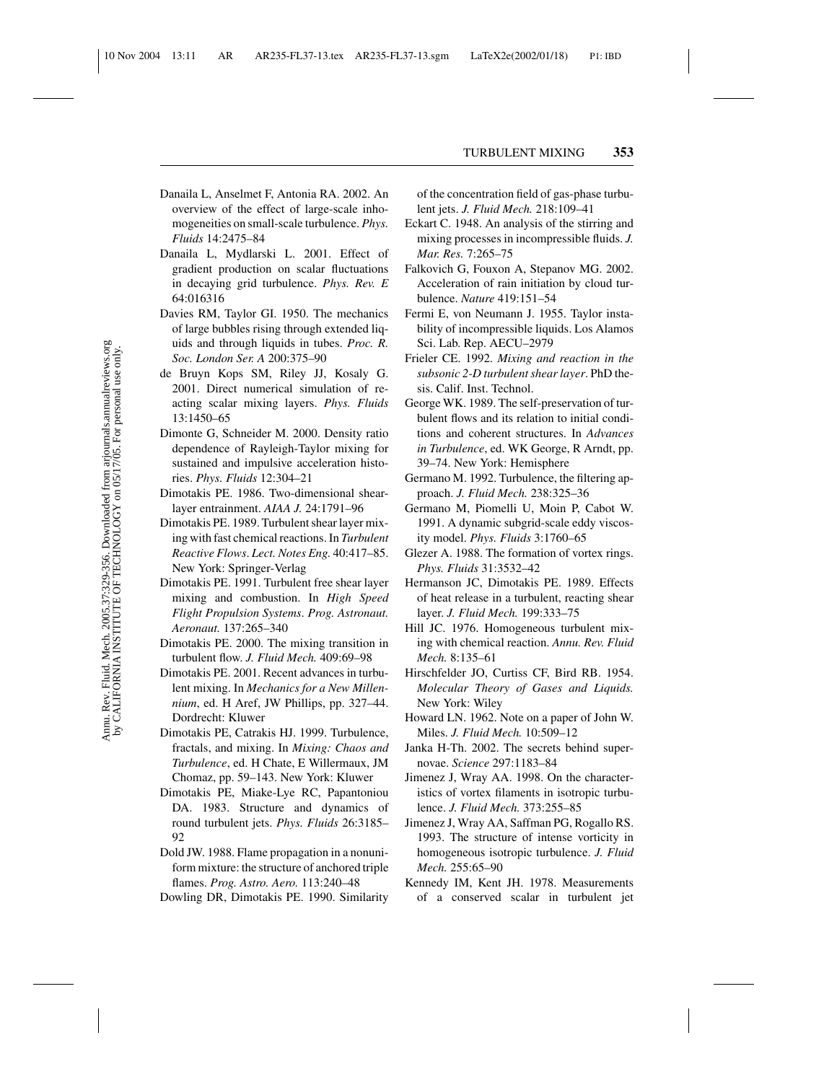- Danaila L, Anselmet F, Antonia RA. 2002. An overview of the effect of large-scale inhomogeneities on small-scale turbulence. *Phys. Fluids* 14:2475–84
- Danaila L, Mydlarski L. 2001. Effect of gradient production on scalar fluctuations in decaying grid turbulence. *Phys. Rev. E* 64:016316
- Davies RM, Taylor GI. 1950. The mechanics of large bubbles rising through extended liquids and through liquids in tubes. *Proc. R. Soc. London Ser. A* 200:375–90
- de Bruyn Kops SM, Riley JJ, Kosaly G. 2001. Direct numerical simulation of reacting scalar mixing layers. *Phys. Fluids* 13:1450–65
- Dimonte G, Schneider M. 2000. Density ratio dependence of Rayleigh-Taylor mixing for sustained and impulsive acceleration histories. *Phys. Fluids* 12:304–21
- Dimotakis PE. 1986. Two-dimensional shearlayer entrainment. *AIAA J.* 24:1791–96
- Dimotakis PE. 1989. Turbulent shear layer mixing with fast chemical reactions. In *Turbulent Reactive Flows*. *Lect. Notes Eng.* 40:417–85. New York: Springer-Verlag
- Dimotakis PE. 1991. Turbulent free shear layer mixing and combustion. In *High Speed Flight Propulsion Systems*. *Prog. Astronaut. Aeronaut.* 137:265–340
- Dimotakis PE. 2000. The mixing transition in turbulent flow. *J. Fluid Mech.* 409:69–98
- Dimotakis PE. 2001. Recent advances in turbulent mixing. In *Mechanics for a New Millennium*, ed. H Aref, JW Phillips, pp. 327–44. Dordrecht: Kluwer
- Dimotakis PE, Catrakis HJ. 1999. Turbulence, fractals, and mixing. In *Mixing: Chaos and Turbulence*, ed. H Chate, E Willermaux, JM Chomaz, pp. 59–143. New York: Kluwer
- Dimotakis PE, Miake-Lye RC, Papantoniou DA. 1983. Structure and dynamics of round turbulent jets. *Phys. Fluids* 26:3185– 92
- Dold JW. 1988. Flame propagation in a nonuniform mixture: the structure of anchored triple flames. *Prog. Astro. Aero.* 113:240–48
- Dowling DR, Dimotakis PE. 1990. Similarity

of the concentration field of gas-phase turbulent jets. *J. Fluid Mech.* 218:109–41

- Eckart C. 1948. An analysis of the stirring and mixing processes in incompressible fluids. *J. Mar. Res.* 7:265–75
- Falkovich G, Fouxon A, Stepanov MG. 2002. Acceleration of rain initiation by cloud turbulence. *Nature* 419:151–54
- Fermi E, von Neumann J. 1955. Taylor instability of incompressible liquids. Los Alamos Sci. Lab. Rep. AECU–2979
- Frieler CE. 1992. *Mixing and reaction in the subsonic 2-D turbulent shear layer*. PhD thesis. Calif. Inst. Technol.
- George WK. 1989. The self-preservation of turbulent flows and its relation to initial conditions and coherent structures. In *Advances in Turbulence*, ed. WK George, R Arndt, pp. 39–74. New York: Hemisphere
- Germano M. 1992. Turbulence, the filtering approach. *J. Fluid Mech.* 238:325–36
- Germano M, Piomelli U, Moin P, Cabot W. 1991. A dynamic subgrid-scale eddy viscosity model. *Phys. Fluids* 3:1760–65
- Glezer A. 1988. The formation of vortex rings. *Phys. Fluids* 31:3532–42
- Hermanson JC, Dimotakis PE. 1989. Effects of heat release in a turbulent, reacting shear layer. *J. Fluid Mech.* 199:333–75
- Hill JC. 1976. Homogeneous turbulent mixing with chemical reaction. *Annu. Rev. Fluid Mech.* 8:135–61
- Hirschfelder JO, Curtiss CF, Bird RB. 1954. *Molecular Theory of Gases and Liquids.* New York: Wiley
- Howard LN. 1962. Note on a paper of John W. Miles. *J. Fluid Mech.* 10:509–12
- Janka H-Th. 2002. The secrets behind supernovae. *Science* 297:1183–84
- Jimenez J, Wray AA. 1998. On the characteristics of vortex filaments in isotropic turbulence. *J. Fluid Mech.* 373:255–85
- Jimenez J, Wray AA, Saffman PG, Rogallo RS. 1993. The structure of intense vorticity in homogeneous isotropic turbulence. *J. Fluid Mech.* 255:65–90
- Kennedy IM, Kent JH. 1978. Measurements of a conserved scalar in turbulent jet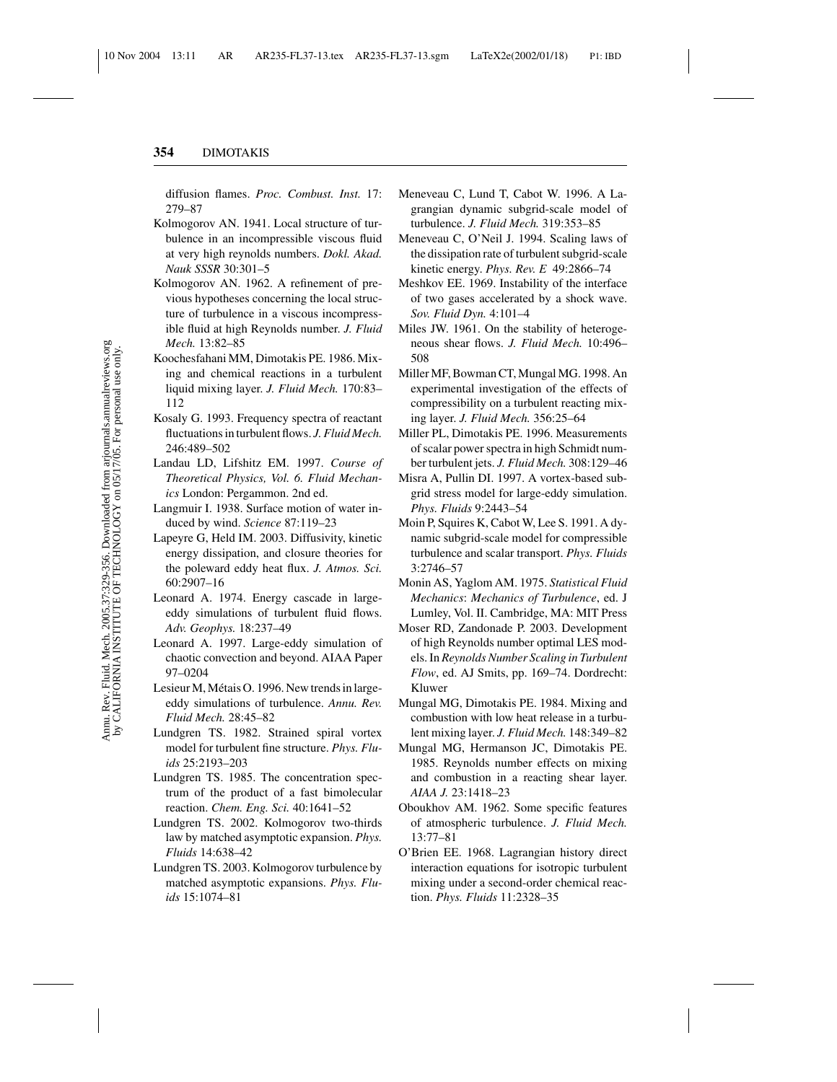diffusion flames. *Proc. Combust. Inst.* 17: 279–87

- Kolmogorov AN. 1941. Local structure of turbulence in an incompressible viscous fluid at very high reynolds numbers. *Dokl. Akad. Nauk SSSR* 30:301–5
- Kolmogorov AN. 1962. A refinement of previous hypotheses concerning the local structure of turbulence in a viscous incompressible fluid at high Reynolds number. *J. Fluid Mech.* 13:82–85
- Koochesfahani MM, Dimotakis PE. 1986. Mixing and chemical reactions in a turbulent liquid mixing layer. *J. Fluid Mech.* 170:83– 112
- Kosaly G. 1993. Frequency spectra of reactant fluctuations in turbulent flows. *J. Fluid Mech.* 246:489–502
- Landau LD, Lifshitz EM. 1997. *Course of Theoretical Physics, Vol. 6. Fluid Mechanics* London: Pergammon. 2nd ed.
- Langmuir I. 1938. Surface motion of water induced by wind. *Science* 87:119–23
- Lapeyre G, Held IM. 2003. Diffusivity, kinetic energy dissipation, and closure theories for the poleward eddy heat flux. *J. Atmos. Sci.* 60:2907–16
- Leonard A. 1974. Energy cascade in largeeddy simulations of turbulent fluid flows. *Adv. Geophys.* 18:237–49
- Leonard A. 1997. Large-eddy simulation of chaotic convection and beyond. AIAA Paper 97–0204
- Lesieur M, Métais O. 1996. New trends in largeeddy simulations of turbulence. *Annu. Rev. Fluid Mech.* 28:45–82
- Lundgren TS. 1982. Strained spiral vortex model for turbulent fine structure. *Phys. Fluids* 25:2193–203
- Lundgren TS. 1985. The concentration spectrum of the product of a fast bimolecular reaction. *Chem. Eng. Sci.* 40:1641–52
- Lundgren TS. 2002. Kolmogorov two-thirds law by matched asymptotic expansion. *Phys. Fluids* 14:638–42
- Lundgren TS. 2003. Kolmogorov turbulence by matched asymptotic expansions. *Phys. Fluids* 15:1074–81
- Meneveau C, Lund T, Cabot W. 1996. A Lagrangian dynamic subgrid-scale model of turbulence. *J. Fluid Mech.* 319:353–85
- Meneveau C, O'Neil J. 1994. Scaling laws of the dissipation rate of turbulent subgrid-scale kinetic energy. *Phys. Rev. E* 49:2866–74
- Meshkov EE. 1969. Instability of the interface of two gases accelerated by a shock wave. *Sov. Fluid Dyn.* 4:101–4
- Miles JW. 1961. On the stability of heterogeneous shear flows. *J. Fluid Mech.* 10:496– 508
- Miller MF, Bowman CT, Mungal MG. 1998. An experimental investigation of the effects of compressibility on a turbulent reacting mixing layer. *J. Fluid Mech.* 356:25–64
- Miller PL, Dimotakis PE. 1996. Measurements of scalar power spectra in high Schmidt number turbulent jets. *J. Fluid Mech.* 308:129–46
- Misra A, Pullin DI. 1997. A vortex-based subgrid stress model for large-eddy simulation. *Phys. Fluids* 9:2443–54
- Moin P, Squires K, Cabot W, Lee S. 1991. A dynamic subgrid-scale model for compressible turbulence and scalar transport. *Phys. Fluids* 3:2746–57
- Monin AS, Yaglom AM. 1975. *Statistical Fluid Mechanics*: *Mechanics of Turbulence*, ed. J Lumley, Vol. II. Cambridge, MA: MIT Press
- Moser RD, Zandonade P. 2003. Development of high Reynolds number optimal LES models. In *Reynolds Number Scaling in Turbulent Flow*, ed. AJ Smits, pp. 169–74. Dordrecht: Kluwer
- Mungal MG, Dimotakis PE. 1984. Mixing and combustion with low heat release in a turbulent mixing layer. *J. Fluid Mech.* 148:349–82
- Mungal MG, Hermanson JC, Dimotakis PE. 1985. Reynolds number effects on mixing and combustion in a reacting shear layer. *AIAA J.* 23:1418–23
- Oboukhov AM. 1962. Some specific features of atmospheric turbulence. *J. Fluid Mech.* 13:77–81
- O'Brien EE. 1968. Lagrangian history direct interaction equations for isotropic turbulent mixing under a second-order chemical reaction. *Phys. Fluids* 11:2328–35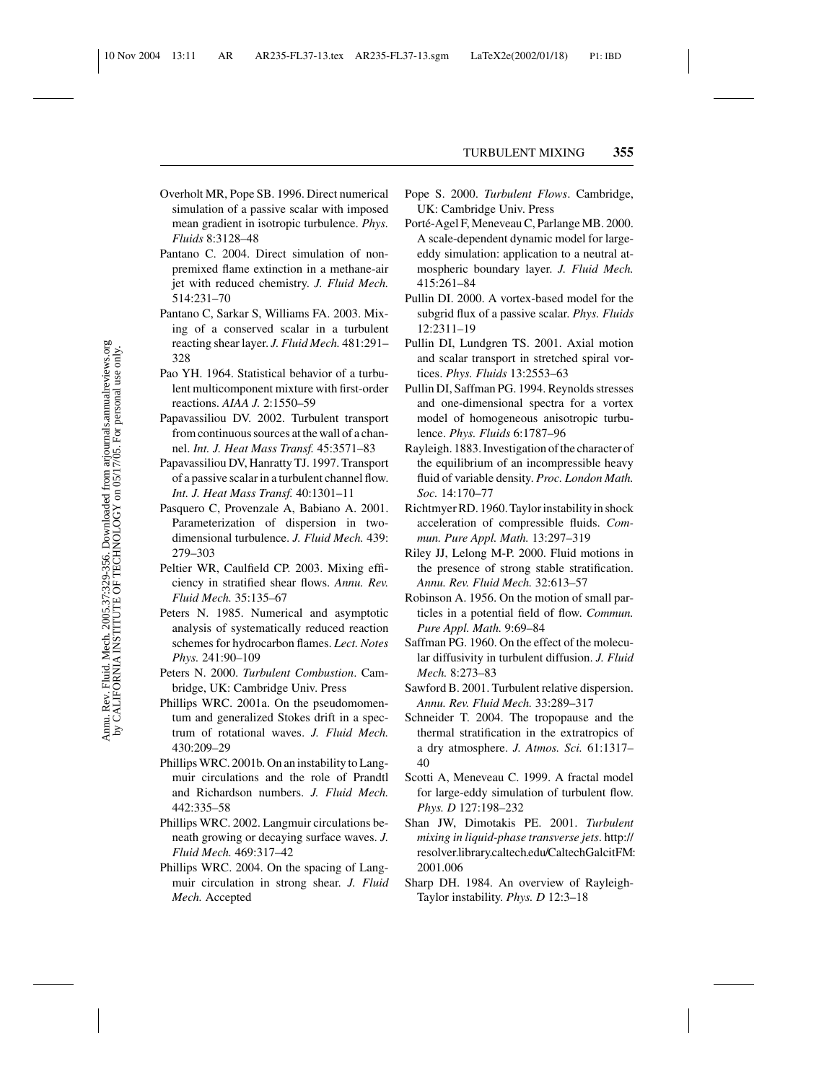- Overholt MR, Pope SB. 1996. Direct numerical simulation of a passive scalar with imposed mean gradient in isotropic turbulence. *Phys. Fluids* 8:3128–48
- Pantano C. 2004. Direct simulation of nonpremixed flame extinction in a methane-air jet with reduced chemistry. *J. Fluid Mech.* 514:231–70
- Pantano C, Sarkar S, Williams FA. 2003. Mixing of a conserved scalar in a turbulent reacting shear layer. *J. Fluid Mech.* 481:291– 328
- Pao YH. 1964. Statistical behavior of a turbulent multicomponent mixture with first-order reactions. *AIAA J.* 2:1550–59
- Papavassiliou DV. 2002. Turbulent transport from continuous sources at the wall of a channel. *Int. J. Heat Mass Transf.* 45:3571–83
- Papavassiliou DV, Hanratty TJ. 1997. Transport of a passive scalar in a turbulent channel flow. *Int. J. Heat Mass Transf.* 40:1301–11
- Pasquero C, Provenzale A, Babiano A. 2001. Parameterization of dispersion in twodimensional turbulence. *J. Fluid Mech.* 439: 279–303
- Peltier WR, Caulfield CP. 2003. Mixing efficiency in stratified shear flows. *Annu. Rev. Fluid Mech.* 35:135–67
- Peters N. 1985. Numerical and asymptotic analysis of systematically reduced reaction schemes for hydrocarbon flames. *Lect. Notes Phys.* 241:90–109
- Peters N. 2000. *Turbulent Combustion*. Cambridge, UK: Cambridge Univ. Press
- Phillips WRC. 2001a. On the pseudomomentum and generalized Stokes drift in a spectrum of rotational waves. *J. Fluid Mech.* 430:209–29
- Phillips WRC. 2001b. On an instability to Langmuir circulations and the role of Prandtl and Richardson numbers. *J. Fluid Mech.* 442:335–58
- Phillips WRC. 2002. Langmuir circulations beneath growing or decaying surface waves. *J. Fluid Mech.* 469:317–42
- Phillips WRC. 2004. On the spacing of Langmuir circulation in strong shear. *J. Fluid Mech.* Accepted
- Pope S. 2000. *Turbulent Flows*. Cambridge, UK: Cambridge Univ. Press
- Porté-Agel F, Meneveau C, Parlange MB. 2000. A scale-dependent dynamic model for largeeddy simulation: application to a neutral atmospheric boundary layer. *J. Fluid Mech.* 415:261–84
- Pullin DI. 2000. A vortex-based model for the subgrid flux of a passive scalar. *Phys. Fluids* 12:2311–19
- Pullin DI, Lundgren TS. 2001. Axial motion and scalar transport in stretched spiral vortices. *Phys. Fluids* 13:2553–63
- Pullin DI, Saffman PG. 1994. Reynolds stresses and one-dimensional spectra for a vortex model of homogeneous anisotropic turbulence. *Phys. Fluids* 6:1787–96
- Rayleigh. 1883. Investigation of the character of the equilibrium of an incompressible heavy fluid of variable density. *Proc. London Math. Soc.* 14:170–77
- Richtmyer RD. 1960. Taylor instability in shock acceleration of compressible fluids. *Commun. Pure Appl. Math.* 13:297–319
- Riley JJ, Lelong M-P. 2000. Fluid motions in the presence of strong stable stratification. *Annu. Rev. Fluid Mech.* 32:613–57
- Robinson A. 1956. On the motion of small particles in a potential field of flow. *Commun. Pure Appl. Math.* 9:69–84
- Saffman PG. 1960. On the effect of the molecular diffusivity in turbulent diffusion. *J. Fluid Mech.* 8:273–83
- Sawford B. 2001. Turbulent relative dispersion. *Annu. Rev. Fluid Mech.* 33:289–317
- Schneider T. 2004. The tropopause and the thermal stratification in the extratropics of a dry atmosphere. *J. Atmos. Sci.* 61:1317– 40
- Scotti A, Meneveau C. 1999. A fractal model for large-eddy simulation of turbulent flow. *Phys. D* 127:198–232
- Shan JW, Dimotakis PE. 2001. *Turbulent mixing in liquid-phase transverse jets*. http:// resolver.library.caltech.edu/CaltechGalcitFM: 2001.006
- Sharp DH. 1984. An overview of Rayleigh-Taylor instability. *Phys. D* 12:3–18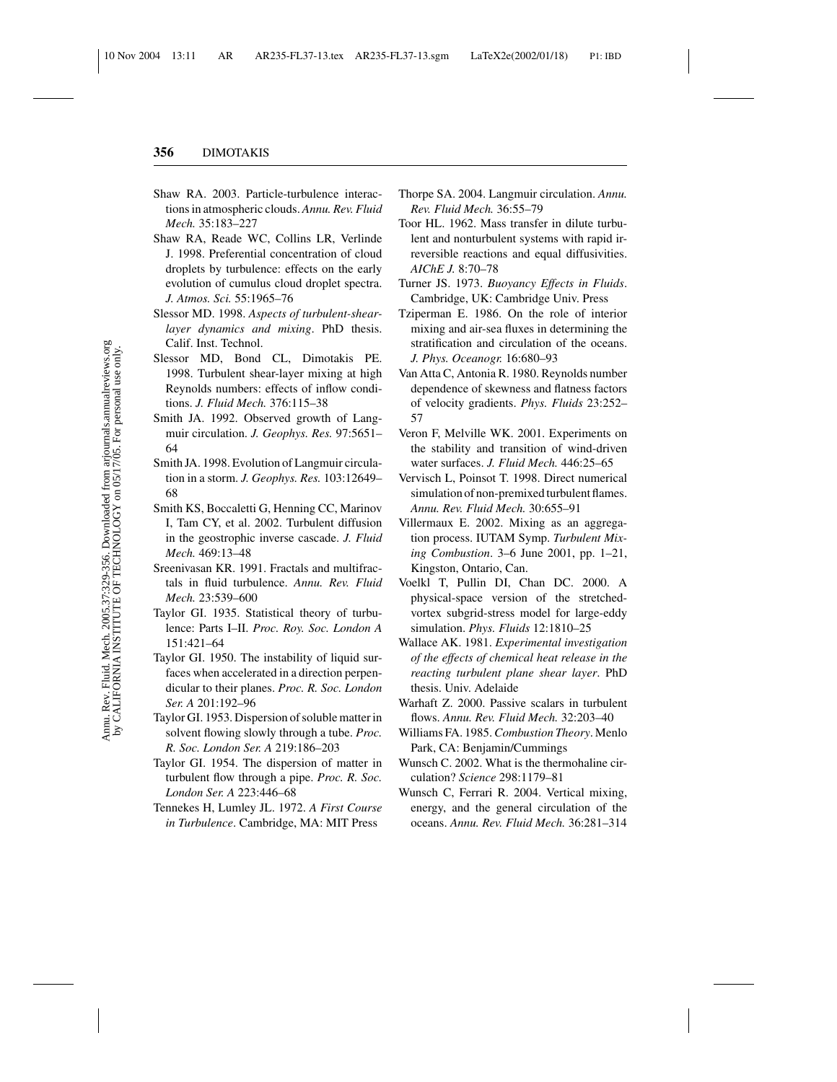- Shaw RA. 2003. Particle-turbulence interactions in atmospheric clouds. *Annu. Rev. Fluid Mech.* 35:183–227
- Shaw RA, Reade WC, Collins LR, Verlinde J. 1998. Preferential concentration of cloud droplets by turbulence: effects on the early evolution of cumulus cloud droplet spectra. *J. Atmos. Sci.* 55:1965–76
- Slessor MD. 1998. *Aspects of turbulent-shearlayer dynamics and mixing*. PhD thesis. Calif. Inst. Technol.
- Slessor MD, Bond CL, Dimotakis PE. 1998. Turbulent shear-layer mixing at high Reynolds numbers: effects of inflow conditions. *J. Fluid Mech.* 376:115–38
- Smith JA. 1992. Observed growth of Langmuir circulation. *J. Geophys. Res.* 97:5651– 64
- Smith JA. 1998. Evolution of Langmuir circulation in a storm. *J. Geophys. Res.* 103:12649– 68
- Smith KS, Boccaletti G, Henning CC, Marinov I, Tam CY, et al. 2002. Turbulent diffusion in the geostrophic inverse cascade. *J. Fluid Mech.* 469:13–48
- Sreenivasan KR. 1991. Fractals and multifractals in fluid turbulence. *Annu. Rev. Fluid Mech.* 23:539–600
- Taylor GI. 1935. Statistical theory of turbulence: Parts I–II. *Proc. Roy. Soc. London A* 151:421–64
- Taylor GI. 1950. The instability of liquid surfaces when accelerated in a direction perpendicular to their planes. *Proc. R. Soc. London Ser. A* 201:192–96
- Taylor GI. 1953. Dispersion of soluble matter in solvent flowing slowly through a tube. *Proc. R. Soc. London Ser. A* 219:186–203
- Taylor GI. 1954. The dispersion of matter in turbulent flow through a pipe. *Proc. R. Soc. London Ser. A* 223:446–68
- Tennekes H, Lumley JL. 1972. *A First Course in Turbulence*. Cambridge, MA: MIT Press
- Thorpe SA. 2004. Langmuir circulation. *Annu. Rev. Fluid Mech.* 36:55–79
- Toor HL. 1962. Mass transfer in dilute turbulent and nonturbulent systems with rapid irreversible reactions and equal diffusivities. *AIChE J.* 8:70–78
- Turner JS. 1973. *Buoyancy Effects in Fluids*. Cambridge, UK: Cambridge Univ. Press
- Tziperman E. 1986. On the role of interior mixing and air-sea fluxes in determining the stratification and circulation of the oceans. *J. Phys. Oceanogr.* 16:680–93
- Van Atta C, Antonia R. 1980. Reynolds number dependence of skewness and flatness factors of velocity gradients. *Phys. Fluids* 23:252– 57
- Veron F, Melville WK. 2001. Experiments on the stability and transition of wind-driven water surfaces. *J. Fluid Mech.* 446:25–65
- Vervisch L, Poinsot T. 1998. Direct numerical simulation of non-premixed turbulent flames. *Annu. Rev. Fluid Mech.* 30:655–91
- Villermaux E. 2002. Mixing as an aggregation process. IUTAM Symp. *Turbulent Mixing Combustion*. 3–6 June 2001, pp. 1–21, Kingston, Ontario, Can.
- Voelkl T, Pullin DI, Chan DC. 2000. A physical-space version of the stretchedvortex subgrid-stress model for large-eddy simulation. *Phys. Fluids* 12:1810–25
- Wallace AK. 1981. *Experimental investigation of the effects of chemical heat release in the reacting turbulent plane shear layer*. PhD thesis. Univ. Adelaide
- Warhaft Z. 2000. Passive scalars in turbulent flows. *Annu. Rev. Fluid Mech.* 32:203–40
- Williams FA. 1985.*Combustion Theory*. Menlo Park, CA: Benjamin/Cummings
- Wunsch C. 2002. What is the thermohaline circulation? *Science* 298:1179–81
- Wunsch C, Ferrari R. 2004. Vertical mixing, energy, and the general circulation of the oceans. *Annu. Rev. Fluid Mech.* 36:281–314